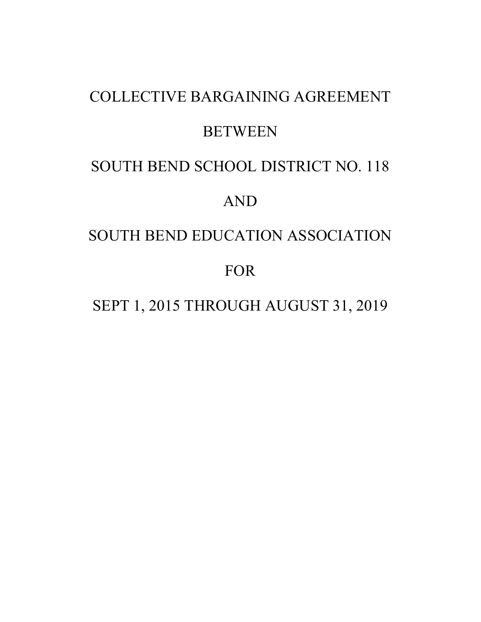# COLLECTIVE BARGAINING AGREEMENT **BETWEEN** SOUTH BEND SCHOOL DISTRICT NO. 118 AND SOUTH BEND EDUCATION ASSOCIATION FOR

SEPT 1, 2015 THROUGH AUGUST 31, 2019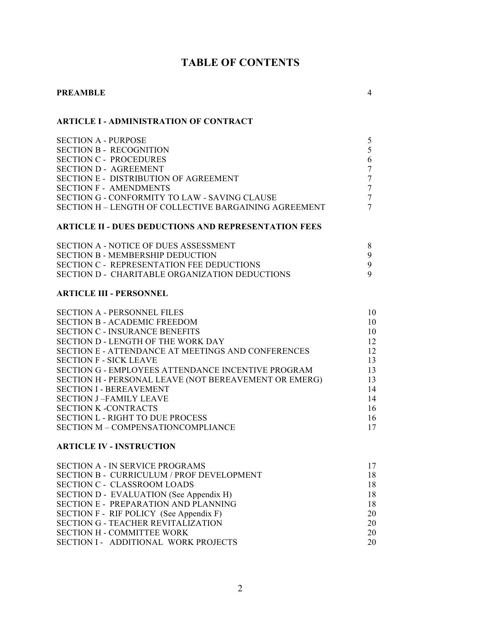## **TABLE OF CONTENTS**

## **PREAMBLE** 4

## **ARTICLE I - ADMINISTRATION OF CONTRACT**

| <b>SECTION A - PURPOSE</b>                            |   |
|-------------------------------------------------------|---|
| <b>SECTION B - RECOGNITION</b>                        |   |
| SECTION C - PROCEDURES                                | 6 |
| <b>SECTION D - AGREEMENT</b>                          |   |
| SECTION E - DISTRIBUTION OF AGREEMENT                 |   |
| <b>SECTION F - AMENDMENTS</b>                         |   |
| SECTION G - CONFORMITY TO LAW - SAVING CLAUSE         |   |
| SECTION H – LENGTH OF COLLECTIVE BARGAINING AGREEMENT | 7 |
|                                                       |   |

## **ARTICLE II - DUES DEDUCTIONS AND REPRESENTATION FEES**

| SECTION A - NOTICE OF DUES ASSESSMENT          |  |
|------------------------------------------------|--|
| <b>SECTION B - MEMBERSHIP DEDUCTION</b>        |  |
| SECTION C - REPRESENTATION FEE DEDUCTIONS      |  |
| SECTION D - CHARITABLE ORGANIZATION DEDUCTIONS |  |

## **ARTICLE III - PERSONNEL**

| <b>SECTION A - PERSONNEL FILES</b>                        | 10 |
|-----------------------------------------------------------|----|
| <b>SECTION B - ACADEMIC FREEDOM</b>                       | 10 |
| <b>SECTION C - INSURANCE BENEFITS</b>                     | 10 |
| SECTION D - LENGTH OF THE WORK DAY                        | 12 |
| <b>SECTION E - ATTENDANCE AT MEETINGS AND CONFERENCES</b> | 12 |
| <b>SECTION F - SICK LEAVE</b>                             | 13 |
| <b>SECTION G - EMPLOYEES ATTENDANCE INCENTIVE PROGRAM</b> | 13 |
| SECTION H - PERSONAL LEAVE (NOT BEREAVEMENT OR EMERG)     | 13 |
| <b>SECTION I - BEREAVEMENT</b>                            | 14 |
| <b>SECTION J-FAMILY LEAVE</b>                             | 14 |
| <b>SECTION K -CONTRACTS</b>                               | 16 |
| <b>SECTION L - RIGHT TO DUE PROCESS</b>                   | 16 |
| SECTION M - COMPENSATIONCOMPLIANCE                        | 17 |
|                                                           |    |

## **ARTICLE IV - INSTRUCTION**

| <b>SECTION A - IN SERVICE PROGRAMS</b>      | 17 |
|---------------------------------------------|----|
| SECTION B - CURRICULUM / PROF DEVELOPMENT   | 18 |
| <b>SECTION C - CLASSROOM LOADS</b>          | 18 |
| SECTION D - EVALUATION (See Appendix H)     | 18 |
| <b>SECTION E - PREPARATION AND PLANNING</b> | 18 |
| SECTION F - RIF POLICY (See Appendix F)     | 20 |
| <b>SECTION G - TEACHER REVITALIZATION</b>   | 20 |
| <b>SECTION H - COMMITTEE WORK</b>           | 20 |
| SECTION I - ADDITIONAL WORK PROJECTS        | 20 |
|                                             |    |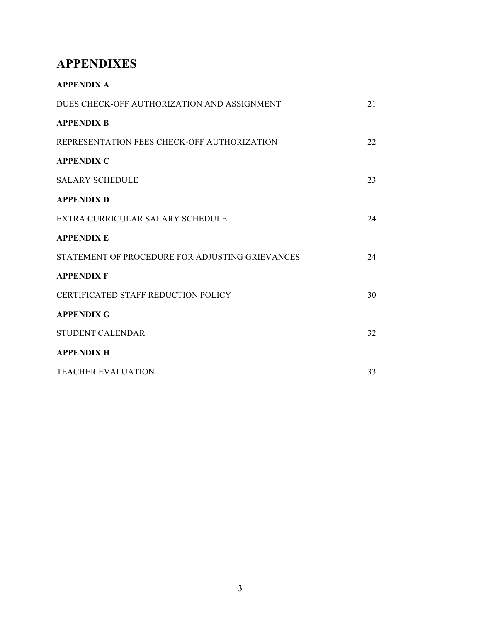## **APPENDIXES**

| <b>APPENDIX A</b>                               |    |
|-------------------------------------------------|----|
| DUES CHECK-OFF AUTHORIZATION AND ASSIGNMENT     | 21 |
| <b>APPENDIX B</b>                               |    |
| REPRESENTATION FEES CHECK-OFF AUTHORIZATION     | 22 |
| <b>APPENDIX C</b>                               |    |
| <b>SALARY SCHEDULE</b>                          | 23 |
| <b>APPENDIX D</b>                               |    |
| EXTRA CURRICULAR SALARY SCHEDULE                | 24 |
| <b>APPENDIX E</b>                               |    |
| STATEMENT OF PROCEDURE FOR ADJUSTING GRIEVANCES | 24 |
| <b>APPENDIX F</b>                               |    |
| CERTIFICATED STAFF REDUCTION POLICY             | 30 |
| <b>APPENDIX G</b>                               |    |
| <b>STUDENT CALENDAR</b>                         | 32 |
| <b>APPENDIX H</b>                               |    |
| <b>TEACHER EVALUATION</b>                       | 33 |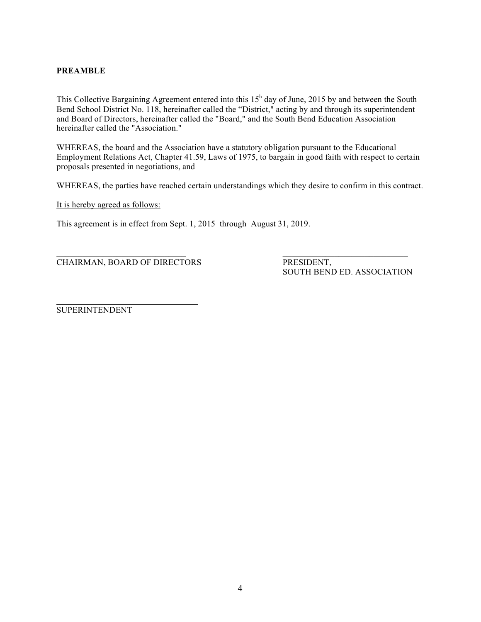## **PREAMBLE**

This Collective Bargaining Agreement entered into this 15<sup>h</sup> day of June, 2015 by and between the South Bend School District No. 118, hereinafter called the "District," acting by and through its superintendent and Board of Directors, hereinafter called the "Board," and the South Bend Education Association hereinafter called the "Association."

WHEREAS, the board and the Association have a statutory obligation pursuant to the Educational Employment Relations Act, Chapter 41.59, Laws of 1975, to bargain in good faith with respect to certain proposals presented in negotiations, and

WHEREAS, the parties have reached certain understandings which they desire to confirm in this contract.

It is hereby agreed as follows:

This agreement is in effect from Sept. 1, 2015 through August 31, 2019.

CHAIRMAN, BOARD OF DIRECTORS PRESIDENT,

SOUTH BEND ED. ASSOCIATION

SUPERINTENDENT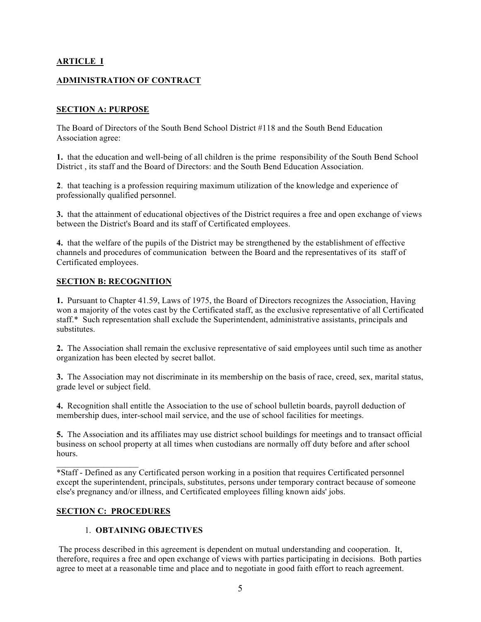## **ARTICLE I**

## **ADMINISTRATION OF CONTRACT**

## **SECTION A: PURPOSE**

The Board of Directors of the South Bend School District #118 and the South Bend Education Association agree:

**1.** that the education and well-being of all children is the prime responsibility of the South Bend School District , its staff and the Board of Directors: and the South Bend Education Association.

**2**. that teaching is a profession requiring maximum utilization of the knowledge and experience of professionally qualified personnel.

**3.** that the attainment of educational objectives of the District requires a free and open exchange of views between the District's Board and its staff of Certificated employees.

**4.** that the welfare of the pupils of the District may be strengthened by the establishment of effective channels and procedures of communication between the Board and the representatives of its staff of Certificated employees.

## **SECTION B: RECOGNITION**

**1.** Pursuant to Chapter 41.59, Laws of 1975, the Board of Directors recognizes the Association, Having won a majority of the votes cast by the Certificated staff, as the exclusive representative of all Certificated staff.\* Such representation shall exclude the Superintendent, administrative assistants, principals and substitutes.

**2.** The Association shall remain the exclusive representative of said employees until such time as another organization has been elected by secret ballot.

**3.** The Association may not discriminate in its membership on the basis of race, creed, sex, marital status, grade level or subject field.

**4.** Recognition shall entitle the Association to the use of school bulletin boards, payroll deduction of membership dues, inter-school mail service, and the use of school facilities for meetings.

**5.** The Association and its affiliates may use district school buildings for meetings and to transact official business on school property at all times when custodians are normally off duty before and after school hours.

 $\mathcal{L}_\text{max}$  and  $\mathcal{L}_\text{max}$  and  $\mathcal{L}_\text{max}$ \*Staff - Defined as any Certificated person working in a position that requires Certificated personnel except the superintendent, principals, substitutes, persons under temporary contract because of someone else's pregnancy and/or illness, and Certificated employees filling known aids' jobs.

## **SECTION C: PROCEDURES**

#### 1. **OBTAINING OBJECTIVES**

The process described in this agreement is dependent on mutual understanding and cooperation. It, therefore, requires a free and open exchange of views with parties participating in decisions. Both parties agree to meet at a reasonable time and place and to negotiate in good faith effort to reach agreement.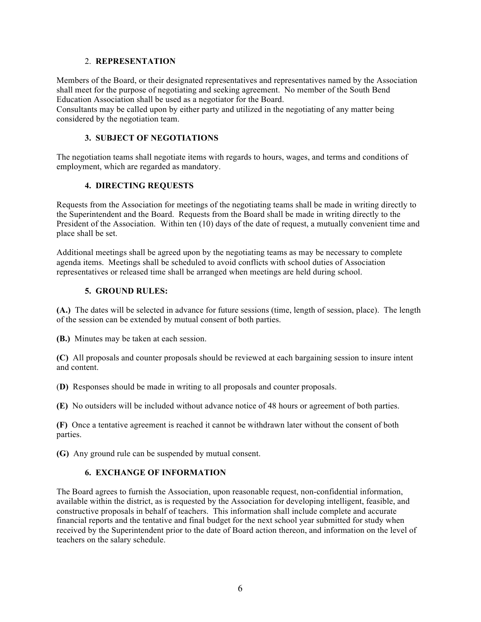#### 2. **REPRESENTATION**

Members of the Board, or their designated representatives and representatives named by the Association shall meet for the purpose of negotiating and seeking agreement. No member of the South Bend Education Association shall be used as a negotiator for the Board.

Consultants may be called upon by either party and utilized in the negotiating of any matter being considered by the negotiation team.

## **3. SUBJECT OF NEGOTIATIONS**

The negotiation teams shall negotiate items with regards to hours, wages, and terms and conditions of employment, which are regarded as mandatory.

## **4. DIRECTING REQUESTS**

Requests from the Association for meetings of the negotiating teams shall be made in writing directly to the Superintendent and the Board. Requests from the Board shall be made in writing directly to the President of the Association. Within ten (10) days of the date of request, a mutually convenient time and place shall be set.

Additional meetings shall be agreed upon by the negotiating teams as may be necessary to complete agenda items. Meetings shall be scheduled to avoid conflicts with school duties of Association representatives or released time shall be arranged when meetings are held during school.

## **5. GROUND RULES:**

**(A.)** The dates will be selected in advance for future sessions (time, length of session, place). The length of the session can be extended by mutual consent of both parties.

**(B.)** Minutes may be taken at each session.

**(C)** All proposals and counter proposals should be reviewed at each bargaining session to insure intent and content.

(**D)** Responses should be made in writing to all proposals and counter proposals.

**(E)** No outsiders will be included without advance notice of 48 hours or agreement of both parties.

**(F)** Once a tentative agreement is reached it cannot be withdrawn later without the consent of both parties.

**(G)** Any ground rule can be suspended by mutual consent.

## **6.****EXCHANGE OF INFORMATION**

The Board agrees to furnish the Association, upon reasonable request, non-confidential information, available within the district, as is requested by the Association for developing intelligent, feasible, and constructive proposals in behalf of teachers. This information shall include complete and accurate financial reports and the tentative and final budget for the next school year submitted for study when received by the Superintendent prior to the date of Board action thereon, and information on the level of teachers on the salary schedule.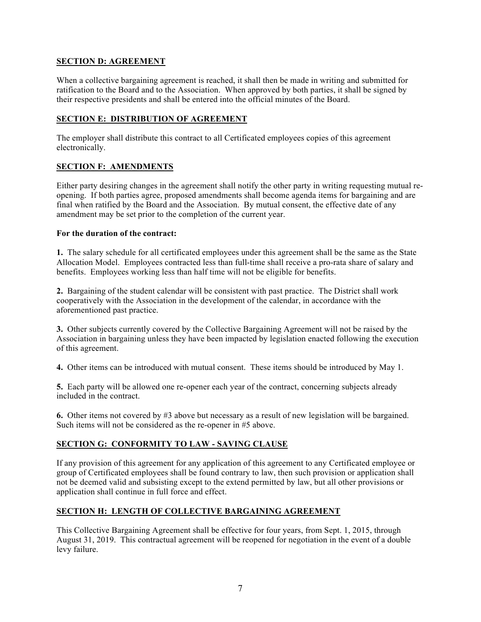## **SECTION D: AGREEMENT**

When a collective bargaining agreement is reached, it shall then be made in writing and submitted for ratification to the Board and to the Association. When approved by both parties, it shall be signed by their respective presidents and shall be entered into the official minutes of the Board.

## **SECTION E: DISTRIBUTION OF AGREEMENT**

The employer shall distribute this contract to all Certificated employees copies of this agreement electronically.

## **SECTION F: AMENDMENTS**

Either party desiring changes in the agreement shall notify the other party in writing requesting mutual reopening. If both parties agree, proposed amendments shall become agenda items for bargaining and are final when ratified by the Board and the Association. By mutual consent, the effective date of any amendment may be set prior to the completion of the current year.

## **For the duration of the contract:**

**1.** The salary schedule for all certificated employees under this agreement shall be the same as the State Allocation Model. Employees contracted less than full-time shall receive a pro-rata share of salary and benefits. Employees working less than half time will not be eligible for benefits.

**2.** Bargaining of the student calendar will be consistent with past practice. The District shall work cooperatively with the Association in the development of the calendar, in accordance with the aforementioned past practice.

**3.** Other subjects currently covered by the Collective Bargaining Agreement will not be raised by the Association in bargaining unless they have been impacted by legislation enacted following the execution of this agreement.

**4.** Other items can be introduced with mutual consent. These items should be introduced by May 1.

**5.** Each party will be allowed one re-opener each year of the contract, concerning subjects already included in the contract.

**6.** Other items not covered by #3 above but necessary as a result of new legislation will be bargained. Such items will not be considered as the re-opener in #5 above.

## **SECTION G: CONFORMITY TO LAW - SAVING CLAUSE**

If any provision of this agreement for any application of this agreement to any Certificated employee or group of Certificated employees shall be found contrary to law, then such provision or application shall not be deemed valid and subsisting except to the extend permitted by law, but all other provisions or application shall continue in full force and effect.

## **SECTION H: LENGTH OF COLLECTIVE BARGAINING AGREEMENT**

This Collective Bargaining Agreement shall be effective for four years, from Sept. 1, 2015, through August 31, 2019. This contractual agreement will be reopened for negotiation in the event of a double levy failure.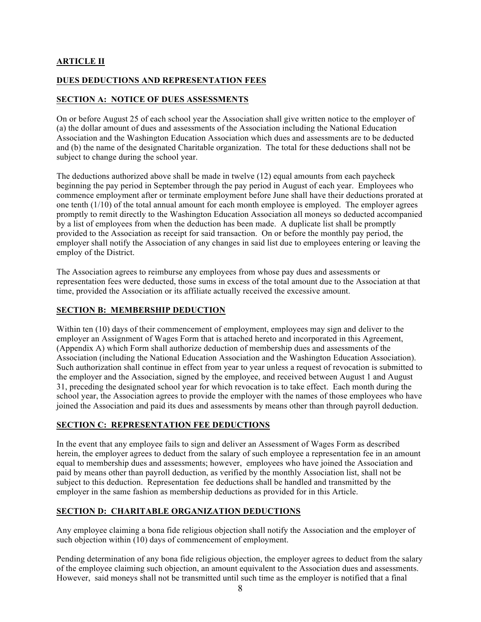## **ARTICLE II**

## **DUES DEDUCTIONS AND REPRESENTATION FEES**

## **SECTION A: NOTICE OF DUES ASSESSMENTS**

On or before August 25 of each school year the Association shall give written notice to the employer of (a) the dollar amount of dues and assessments of the Association including the National Education Association and the Washington Education Association which dues and assessments are to be deducted and (b) the name of the designated Charitable organization. The total for these deductions shall not be subject to change during the school year.

The deductions authorized above shall be made in twelve (12) equal amounts from each paycheck beginning the pay period in September through the pay period in August of each year. Employees who commence employment after or terminate employment before June shall have their deductions prorated at one tenth  $(1/10)$  of the total annual amount for each month employee is employed. The employer agrees promptly to remit directly to the Washington Education Association all moneys so deducted accompanied by a list of employees from when the deduction has been made. A duplicate list shall be promptly provided to the Association as receipt for said transaction. On or before the monthly pay period, the employer shall notify the Association of any changes in said list due to employees entering or leaving the employ of the District.

The Association agrees to reimburse any employees from whose pay dues and assessments or representation fees were deducted, those sums in excess of the total amount due to the Association at that time, provided the Association or its affiliate actually received the excessive amount.

## **SECTION B: MEMBERSHIP DEDUCTION**

Within ten (10) days of their commencement of employment, employees may sign and deliver to the employer an Assignment of Wages Form that is attached hereto and incorporated in this Agreement, (Appendix A) which Form shall authorize deduction of membership dues and assessments of the Association (including the National Education Association and the Washington Education Association). Such authorization shall continue in effect from year to year unless a request of revocation is submitted to the employer and the Association, signed by the employee, and received between August 1 and August 31, preceding the designated school year for which revocation is to take effect. Each month during the school year, the Association agrees to provide the employer with the names of those employees who have joined the Association and paid its dues and assessments by means other than through payroll deduction.

## **SECTION C: REPRESENTATION FEE DEDUCTIONS**

In the event that any employee fails to sign and deliver an Assessment of Wages Form as described herein, the employer agrees to deduct from the salary of such employee a representation fee in an amount equal to membership dues and assessments; however, employees who have joined the Association and paid by means other than payroll deduction, as verified by the monthly Association list, shall not be subject to this deduction. Representation fee deductions shall be handled and transmitted by the employer in the same fashion as membership deductions as provided for in this Article.

## **SECTION D: CHARITABLE ORGANIZATION DEDUCTIONS**

Any employee claiming a bona fide religious objection shall notify the Association and the employer of such objection within (10) days of commencement of employment.

Pending determination of any bona fide religious objection, the employer agrees to deduct from the salary of the employee claiming such objection, an amount equivalent to the Association dues and assessments. However, said moneys shall not be transmitted until such time as the employer is notified that a final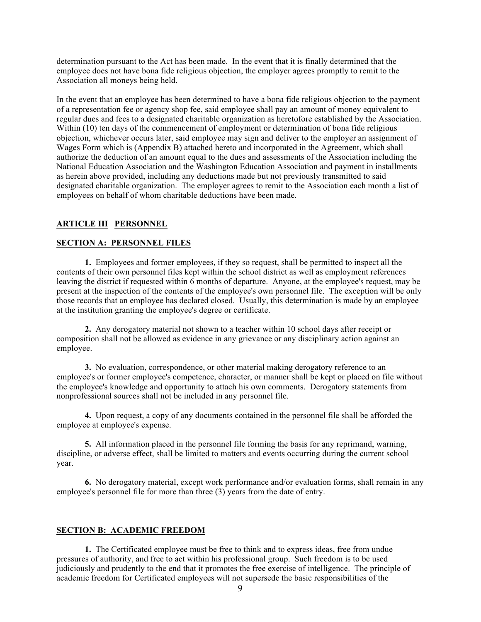determination pursuant to the Act has been made. In the event that it is finally determined that the employee does not have bona fide religious objection, the employer agrees promptly to remit to the Association all moneys being held.

In the event that an employee has been determined to have a bona fide religious objection to the payment of a representation fee or agency shop fee, said employee shall pay an amount of money equivalent to regular dues and fees to a designated charitable organization as heretofore established by the Association. Within (10) ten days of the commencement of employment or determination of bona fide religious objection, whichever occurs later, said employee may sign and deliver to the employer an assignment of Wages Form which is (Appendix B) attached hereto and incorporated in the Agreement, which shall authorize the deduction of an amount equal to the dues and assessments of the Association including the National Education Association and the Washington Education Association and payment in installments as herein above provided, including any deductions made but not previously transmitted to said designated charitable organization. The employer agrees to remit to the Association each month a list of employees on behalf of whom charitable deductions have been made.

## **ARTICLE III PERSONNEL**

#### **SECTION A: PERSONNEL FILES**

**1.** Employees and former employees, if they so request, shall be permitted to inspect all the contents of their own personnel files kept within the school district as well as employment references leaving the district if requested within  $\vec{6}$  months of departure. Anyone, at the employee's request, may be present at the inspection of the contents of the employee's own personnel file. The exception will be only those records that an employee has declared closed. Usually, this determination is made by an employee at the institution granting the employee's degree or certificate.

**2.** Any derogatory material not shown to a teacher within 10 school days after receipt or composition shall not be allowed as evidence in any grievance or any disciplinary action against an employee.

**3.** No evaluation, correspondence, or other material making derogatory reference to an employee's or former employee's competence, character, or manner shall be kept or placed on file without the employee's knowledge and opportunity to attach his own comments. Derogatory statements from nonprofessional sources shall not be included in any personnel file.

**4.** Upon request, a copy of any documents contained in the personnel file shall be afforded the employee at employee's expense.

**5.** All information placed in the personnel file forming the basis for any reprimand, warning, discipline, or adverse effect, shall be limited to matters and events occurring during the current school year.

**6.** No derogatory material, except work performance and/or evaluation forms, shall remain in any employee's personnel file for more than three (3) years from the date of entry.

#### **SECTION B: ACADEMIC FREEDOM**

**1.** The Certificated employee must be free to think and to express ideas, free from undue pressures of authority, and free to act within his professional group. Such freedom is to be used judiciously and prudently to the end that it promotes the free exercise of intelligence. The principle of academic freedom for Certificated employees will not supersede the basic responsibilities of the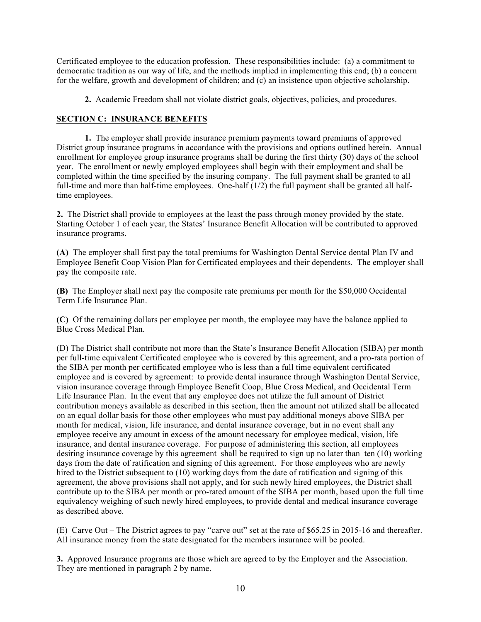Certificated employee to the education profession. These responsibilities include: (a) a commitment to democratic tradition as our way of life, and the methods implied in implementing this end; (b) a concern for the welfare, growth and development of children; and (c) an insistence upon objective scholarship.

**2.** Academic Freedom shall not violate district goals, objectives, policies, and procedures.

## **SECTION C: INSURANCE BENEFITS**

**1.** The employer shall provide insurance premium payments toward premiums of approved District group insurance programs in accordance with the provisions and options outlined herein. Annual enrollment for employee group insurance programs shall be during the first thirty (30) days of the school year. The enrollment or newly employed employees shall begin with their employment and shall be completed within the time specified by the insuring company. The full payment shall be granted to all full-time and more than half-time employees. One-half (1/2) the full payment shall be granted all halftime employees.

**2.** The District shall provide to employees at the least the pass through money provided by the state. Starting October 1 of each year, the States' Insurance Benefit Allocation will be contributed to approved insurance programs.

**(A)** The employer shall first pay the total premiums for Washington Dental Service dental Plan IV and Employee Benefit Coop Vision Plan for Certificated employees and their dependents. The employer shall pay the composite rate.

**(B)** The Employer shall next pay the composite rate premiums per month for the \$50,000 Occidental Term Life Insurance Plan.

**(C)** Of the remaining dollars per employee per month, the employee may have the balance applied to Blue Cross Medical Plan.

(D) The District shall contribute not more than the State's Insurance Benefit Allocation (SIBA) per month per full-time equivalent Certificated employee who is covered by this agreement, and a pro-rata portion of the SIBA per month per certificated employee who is less than a full time equivalent certificated employee and is covered by agreement: to provide dental insurance through Washington Dental Service, vision insurance coverage through Employee Benefit Coop, Blue Cross Medical, and Occidental Term Life Insurance Plan. In the event that any employee does not utilize the full amount of District contribution moneys available as described in this section, then the amount not utilized shall be allocated on an equal dollar basis for those other employees who must pay additional moneys above SIBA per month for medical, vision, life insurance, and dental insurance coverage, but in no event shall any employee receive any amount in excess of the amount necessary for employee medical, vision, life insurance, and dental insurance coverage. For purpose of administering this section, all employees desiring insurance coverage by this agreement shall be required to sign up no later than ten (10) working days from the date of ratification and signing of this agreement. For those employees who are newly hired to the District subsequent to (10) working days from the date of ratification and signing of this agreement, the above provisions shall not apply, and for such newly hired employees, the District shall contribute up to the SIBA per month or pro-rated amount of the SIBA per month, based upon the full time equivalency weighing of such newly hired employees, to provide dental and medical insurance coverage as described above.

(E) Carve Out – The District agrees to pay "carve out" set at the rate of \$65.25 in 2015-16 and thereafter. All insurance money from the state designated for the members insurance will be pooled.

**3.** Approved Insurance programs are those which are agreed to by the Employer and the Association. They are mentioned in paragraph 2 by name.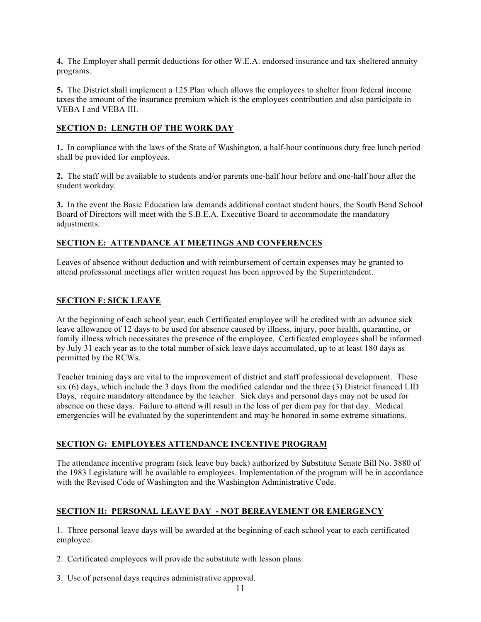**4.** The Employer shall permit deductions for other W.E.A. endorsed insurance and tax sheltered annuity programs.

**5.** The District shall implement a 125 Plan which allows the employees to shelter from federal income taxes the amount of the insurance premium which is the employees contribution and also participate in VEBA I and VEBA III.

## **SECTION D: LENGTH OF THE WORK DAY**

**1.** In compliance with the laws of the State of Washington, a half-hour continuous duty free lunch period shall be provided for employees.

**2.** The staff will be available to students and/or parents one-half hour before and one-half hour after the student workday.

**3.** In the event the Basic Education law demands additional contact student hours, the South Bend School Board of Directors will meet with the S.B.E.A. Executive Board to accommodate the mandatory adjustments.

## **SECTION E: ATTENDANCE AT MEETINGS AND CONFERENCES**

Leaves of absence without deduction and with reimbursement of certain expenses may be granted to attend professional meetings after written request has been approved by the Superintendent.

## **SECTION F: SICK LEAVE**

At the beginning of each school year, each Certificated employee will be credited with an advance sick leave allowance of 12 days to be used for absence caused by illness, injury, poor health, quarantine, or family illness which necessitates the presence of the employee. Certificated employees shall be informed by July 31 each year as to the total number of sick leave days accumulated, up to at least 180 days as permitted by the RCWs.

Teacher training days are vital to the improvement of district and staff professional development. These six (6) days, which include the 3 days from the modified calendar and the three (3) District financed LID Days, require mandatory attendance by the teacher. Sick days and personal days may not be used for absence on these days. Failure to attend will result in the loss of per diem pay for that day. Medical emergencies will be evaluated by the superintendent and may be honored in some extreme situations.

## **SECTION G: EMPLOYEES ATTENDANCE INCENTIVE PROGRAM**

The attendance incentive program (sick leave buy back) authorized by Substitute Senate Bill No. 3880 of the 1983 Legislature will be available to employees. Implementation of the program will be in accordance with the Revised Code of Washington and the Washington Administrative Code.

## **SECTION H: PERSONAL LEAVE DAY - NOT BEREAVEMENT OR EMERGENCY**

1. Three personal leave days will be awarded at the beginning of each school year to each certificated employee.

- 2. Certificated employees will provide the substitute with lesson plans.
- 3. Use of personal days requires administrative approval.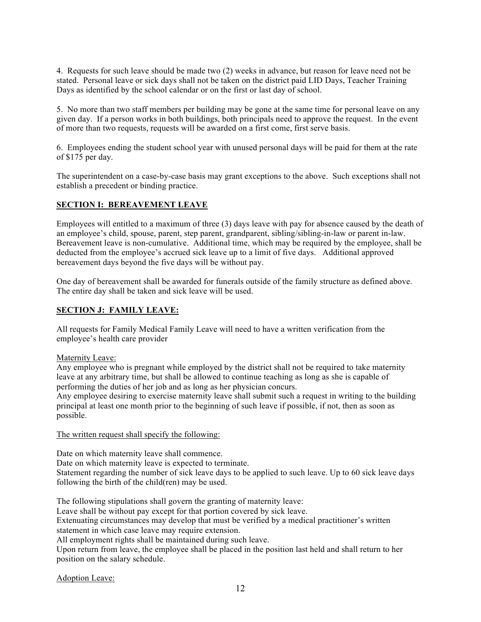4. Requests for such leave should be made two (2) weeks in advance, but reason for leave need not be stated. Personal leave or sick days shall not be taken on the district paid LID Days, Teacher Training Days as identified by the school calendar or on the first or last day of school.

5. No more than two staff members per building may be gone at the same time for personal leave on any given day. If a person works in both buildings, both principals need to approve the request. In the event of more than two requests, requests will be awarded on a first come, first serve basis.

6. Employees ending the student school year with unused personal days will be paid for them at the rate of \$175 per day.

The superintendent on a case-by-case basis may grant exceptions to the above. Such exceptions shall not establish a precedent or binding practice.

## **SECTION I: BEREAVEMENT LEAVE**

Employees will entitled to a maximum of three (3) days leave with pay for absence caused by the death of an employee's child, spouse, parent, step parent, grandparent, sibling/sibling-in-law or parent in-law. Bereavement leave is non-cumulative. Additional time, which may be required by the employee, shall be deducted from the employee's accrued sick leave up to a limit of five days. Additional approved bereavement days beyond the five days will be without pay.

One day of bereavement shall be awarded for funerals outside of the family structure as defined above. The entire day shall be taken and sick leave will be used.

## **SECTION J: FAMILY LEAVE:**

All requests for Family Medical Family Leave will need to have a written verification from the employee's health care provider

#### Maternity Leave:

Any employee who is pregnant while employed by the district shall not be required to take maternity leave at any arbitrary time, but shall be allowed to continue teaching as long as she is capable of performing the duties of her job and as long as her physician concurs.

Any employee desiring to exercise maternity leave shall submit such a request in writing to the building principal at least one month prior to the beginning of such leave if possible, if not, then as soon as possible.

#### The written request shall specify the following:

Date on which maternity leave shall commence.

Date on which maternity leave is expected to terminate.

Statement regarding the number of sick leave days to be applied to such leave. Up to 60 sick leave days following the birth of the child(ren) may be used.

The following stipulations shall govern the granting of maternity leave:

Leave shall be without pay except for that portion covered by sick leave.

Extenuating circumstances may develop that must be verified by a medical practitioner's written statement in which case leave may require extension.

All employment rights shall be maintained during such leave.

Upon return from leave, the employee shall be placed in the position last held and shall return to her position on the salary schedule.

Adoption Leave: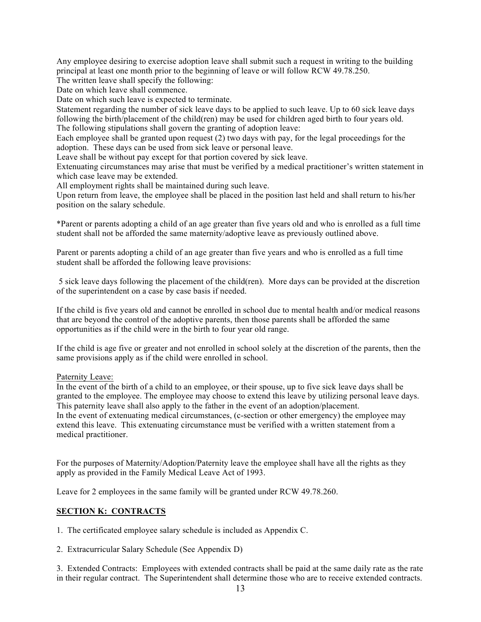Any employee desiring to exercise adoption leave shall submit such a request in writing to the building principal at least one month prior to the beginning of leave or will follow RCW 49.78.250.

The written leave shall specify the following:

Date on which leave shall commence.

Date on which such leave is expected to terminate.

Statement regarding the number of sick leave days to be applied to such leave. Up to 60 sick leave days following the birth/placement of the child(ren) may be used for children aged birth to four years old. The following stipulations shall govern the granting of adoption leave:

Each employee shall be granted upon request (2) two days with pay, for the legal proceedings for the adoption. These days can be used from sick leave or personal leave.

Leave shall be without pay except for that portion covered by sick leave.

Extenuating circumstances may arise that must be verified by a medical practitioner's written statement in which case leave may be extended.

All employment rights shall be maintained during such leave.

Upon return from leave, the employee shall be placed in the position last held and shall return to his/her position on the salary schedule.

\*Parent or parents adopting a child of an age greater than five years old and who is enrolled as a full time student shall not be afforded the same maternity/adoptive leave as previously outlined above.

Parent or parents adopting a child of an age greater than five years and who is enrolled as a full time student shall be afforded the following leave provisions:

5 sick leave days following the placement of the child(ren). More days can be provided at the discretion of the superintendent on a case by case basis if needed.

If the child is five years old and cannot be enrolled in school due to mental health and/or medical reasons that are beyond the control of the adoptive parents, then those parents shall be afforded the same opportunities as if the child were in the birth to four year old range.

If the child is age five or greater and not enrolled in school solely at the discretion of the parents, then the same provisions apply as if the child were enrolled in school.

Paternity Leave:

In the event of the birth of a child to an employee, or their spouse, up to five sick leave days shall be granted to the employee. The employee may choose to extend this leave by utilizing personal leave days. This paternity leave shall also apply to the father in the event of an adoption/placement. In the event of extenuating medical circumstances, (c-section or other emergency) the employee may extend this leave. This extenuating circumstance must be verified with a written statement from a medical practitioner.

For the purposes of Maternity/Adoption/Paternity leave the employee shall have all the rights as they apply as provided in the Family Medical Leave Act of 1993.

Leave for 2 employees in the same family will be granted under RCW 49.78.260.

## **SECTION K: CONTRACTS**

1. The certificated employee salary schedule is included as Appendix C.

2. Extracurricular Salary Schedule (See Appendix D)

3. Extended Contracts:Employees with extended contracts shall be paid at the same daily rate as the rate in their regular contract. The Superintendent shall determine those who are to receive extended contracts.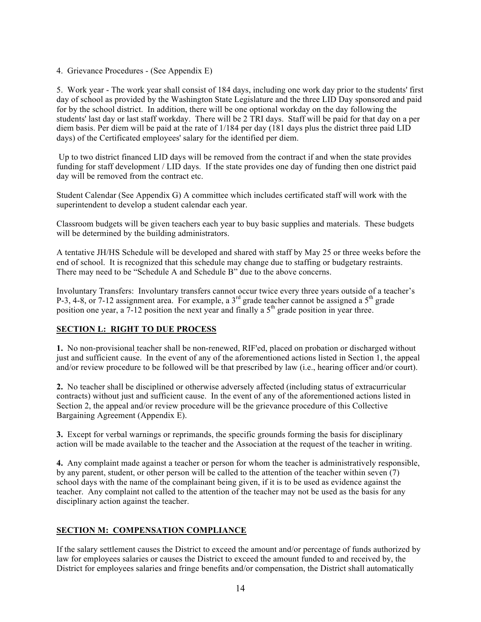4. Grievance Procedures - (See Appendix E)

5. Work year - The work year shall consist of 184 days, including one work day prior to the students' first day of school as provided by the Washington State Legislature and the three LID Day sponsored and paid for by the school district. In addition, there will be one optional workday on the day following the students' last day or last staff workday. There will be 2 TRI days. Staff will be paid for that day on a per diem basis. Per diem will be paid at the rate of 1/184 per day (181 days plus the district three paid LID days) of the Certificated employees' salary for the identified per diem.

Up to two district financed LID days will be removed from the contract if and when the state provides funding for staff development / LID days. If the state provides one day of funding then one district paid day will be removed from the contract etc.

Student Calendar (See Appendix G) A committee which includes certificated staff will work with the superintendent to develop a student calendar each year.

Classroom budgets will be given teachers each year to buy basic supplies and materials. These budgets will be determined by the building administrators.

A tentative JH/HS Schedule will be developed and shared with staff by May 25 or three weeks before the end of school. It is recognized that this schedule may change due to staffing or budgetary restraints. There may need to be "Schedule A and Schedule B" due to the above concerns.

Involuntary Transfers: Involuntary transfers cannot occur twice every three years outside of a teacher's P-3, 4-8, or 7-12 assignment area. For example, a 3<sup>rd</sup> grade teacher cannot be assigned a 5<sup>th</sup> grade position one year, a  $7-12$  position the next year and finally a  $5<sup>th</sup>$  grade position in year three.

## **SECTION L: RIGHT TO DUE PROCESS**

**1.** No non-provisional teacher shall be non-renewed, RIF'ed, placed on probation or discharged without just and sufficient cause. In the event of any of the aforementioned actions listed in Section 1, the appeal and/or review procedure to be followed will be that prescribed by law (i.e., hearing officer and/or court).

**2.** No teacher shall be disciplined or otherwise adversely affected (including status of extracurricular contracts) without just and sufficient cause. In the event of any of the aforementioned actions listed in Section 2, the appeal and/or review procedure will be the grievance procedure of this Collective Bargaining Agreement (Appendix E).

**3.** Except for verbal warnings or reprimands, the specific grounds forming the basis for disciplinary action will be made available to the teacher and the Association at the request of the teacher in writing.

**4.** Any complaint made against a teacher or person for whom the teacher is administratively responsible, by any parent, student, or other person will be called to the attention of the teacher within seven (7) school days with the name of the complainant being given, if it is to be used as evidence against the teacher. Any complaint not called to the attention of the teacher may not be used as the basis for any disciplinary action against the teacher.

## **SECTION M: COMPENSATION COMPLIANCE**

If the salary settlement causes the District to exceed the amount and/or percentage of funds authorized by law for employees salaries or causes the District to exceed the amount funded to and received by, the District for employees salaries and fringe benefits and/or compensation, the District shall automatically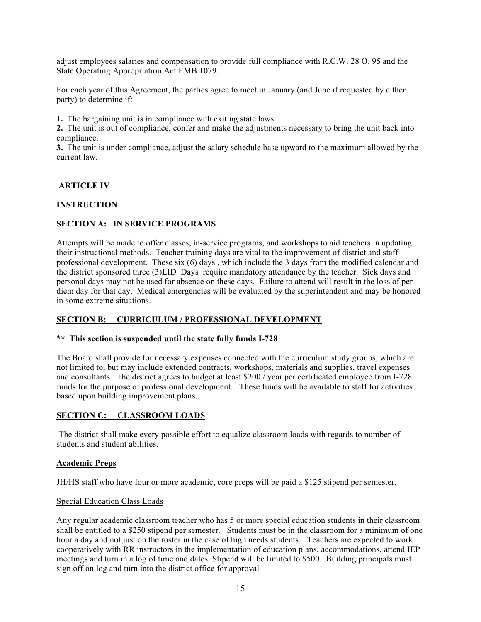adjust employees salaries and compensation to provide full compliance with R.C.W. 28 O. 95 and the State Operating Appropriation Act EMB 1079.

For each year of this Agreement, the parties agree to meet in January (and June if requested by either party) to determine if:

**1.** The bargaining unit is in compliance with exiting state laws.

**2.** The unit is out of compliance, confer and make the adjustments necessary to bring the unit back into compliance.

**3.** The unit is under compliance, adjust the salary schedule base upward to the maximum allowed by the current law.

## **ARTICLE IV**

## **INSTRUCTION**

## **SECTION A: IN SERVICE PROGRAMS**

Attempts will be made to offer classes, in-service programs, and workshops to aid teachers in updating their instructional methods. Teacher training days are vital to the improvement of district and staff professional development. These six (6) days , which include the 3 days from the modified calendar and the district sponsored three (3)LID Days require mandatory attendance by the teacher. Sick days and personal days may not be used for absence on these days. Failure to attend will result in the loss of per diem day for that day. Medical emergencies will be evaluated by the superintendent and may be honored in some extreme situations.

## **SECTION B: CURRICULUM / PROFESSIONAL DEVELOPMENT**

## **\*\* This section is suspended until the state fully funds I-728**

The Board shall provide for necessary expenses connected with the curriculum study groups, which are not limited to, but may include extended contracts, workshops, materials and supplies, travel expenses and consultants. The district agrees to budget at least \$200 / year per certificated employee from I-728 funds for the purpose of professional development. These funds will be available to staff for activities based upon building improvement plans.

## **SECTION C: CLASSROOM LOADS**

The district shall make every possible effort to equalize classroom loads with regards to number of students and student abilities.

#### **Academic Preps**

JH/HS staff who have four or more academic, core preps will be paid a \$125 stipend per semester.

#### Special Education Class Loads

Any regular academic classroom teacher who has 5 or more special education students in their classroom shall be entitled to a \$250 stipend per semester. Students must be in the classroom for a minimum of one hour a day and not just on the roster in the case of high needs students. Teachers are expected to work cooperatively with RR instructors in the implementation of education plans, accommodations, attend IEP meetings and turn in a log of time and dates. Stipend will be limited to \$500. Building principals must sign off on log and turn into the district office for approval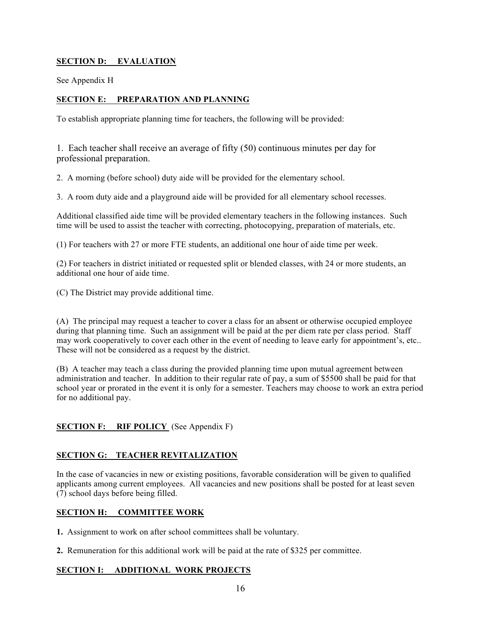## **SECTION D: EVALUATION**

See Appendix H

## **SECTION E: PREPARATION AND PLANNING**

To establish appropriate planning time for teachers, the following will be provided:

1. Each teacher shall receive an average of fifty (50) continuous minutes per day for professional preparation.

2. A morning (before school) duty aide will be provided for the elementary school.

3. A room duty aide and a playground aide will be provided for all elementary school recesses.

Additional classified aide time will be provided elementary teachers in the following instances. Such time will be used to assist the teacher with correcting, photocopying, preparation of materials, etc.

(1) For teachers with 27 or more FTE students, an additional one hour of aide time per week.

(2) For teachers in district initiated or requested split or blended classes, with 24 or more students, an additional one hour of aide time.

(C) The District may provide additional time.

(A)The principal may request a teacher to cover a class for an absent or otherwise occupied employee during that planning time. Such an assignment will be paid at the per diem rate per class period. Staff may work cooperatively to cover each other in the event of needing to leave early for appointment's, etc.. These will not be considered as a request by the district.

(B) A teacher may teach a class during the provided planning time upon mutual agreement between administration and teacher. In addition to their regular rate of pay, a sum of \$5500 shall be paid for that school year or prorated in the event it is only for a semester. Teachers may choose to work an extra period for no additional pay.

## **SECTION F:** RIF POLICY (See Appendix F)

## **SECTION G: TEACHER REVITALIZATION**

In the case of vacancies in new or existing positions, favorable consideration will be given to qualified applicants among current employees. All vacancies and new positions shall be posted for at least seven (7) school days before being filled.

## **SECTION H: COMMITTEE WORK**

**1.** Assignment to work on after school committees shall be voluntary.

**2.** Remuneration for this additional work will be paid at the rate of \$325 per committee.

## **SECTION I: ADDITIONAL WORK PROJECTS**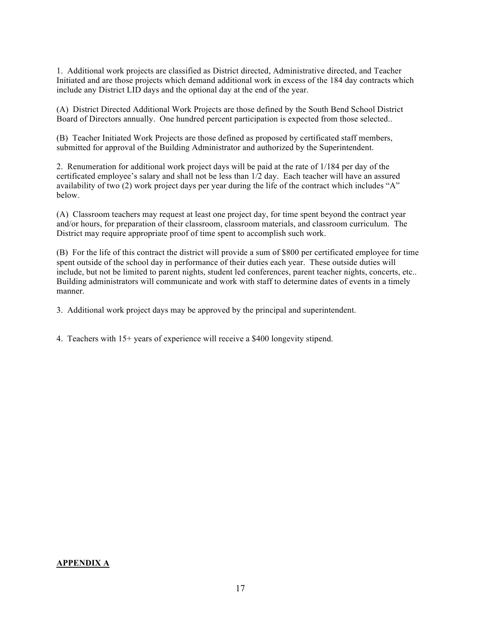1. Additional work projects are classified as District directed, Administrative directed, and Teacher Initiated and are those projects which demand additional work in excess of the 184 day contracts which include any District LID days and the optional day at the end of the year.

(A) District Directed Additional Work Projects are those defined by the South Bend School District Board of Directors annually. One hundred percent participation is expected from those selected..

(B) Teacher Initiated Work Projects are those defined as proposed by certificated staff members, submitted for approval of the Building Administrator and authorized by the Superintendent.

2. Renumeration for additional work project days will be paid at the rate of 1/184 per day of the certificated employee's salary and shall not be less than 1/2 day. Each teacher will have an assured availability of two (2) work project days per year during the life of the contract which includes "A" below.

(A) Classroom teachers may request at least one project day, for time spent beyond the contract year and/or hours, for preparation of their classroom, classroom materials, and classroom curriculum. The District may require appropriate proof of time spent to accomplish such work.

(B) For the life of this contract the district will provide a sum of \$800 per certificated employee for time spent outside of the school day in performance of their duties each year. These outside duties will include, but not be limited to parent nights, student led conferences, parent teacher nights, concerts, etc.. Building administrators will communicate and work with staff to determine dates of events in a timely manner.

3.Additional work project days may be approved by the principal and superintendent.

4. Teachers with 15+ years of experience will receive a \$400 longevity stipend.

#### **APPENDIX A**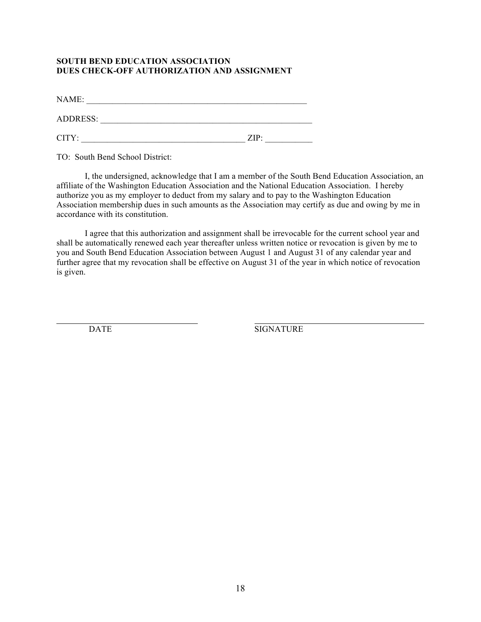## **SOUTH BEND EDUCATION ASSOCIATION DUES CHECK-OFF AUTHORIZATION AND ASSIGNMENT**

NAME: \_\_\_\_\_\_\_\_\_\_\_\_\_\_\_\_\_\_\_\_\_\_\_\_\_\_\_\_\_\_\_\_\_\_\_\_\_\_\_\_\_\_\_\_\_\_\_\_\_\_\_

ADDRESS: \_\_\_\_\_\_\_\_\_\_\_\_\_\_\_\_\_\_\_\_\_\_\_\_\_\_\_\_\_\_\_\_\_\_\_\_\_\_\_\_\_\_\_\_\_\_\_\_\_

 $CITY:$   $ZIP:$ 

TO: South Bend School District:

I, the undersigned, acknowledge that I am a member of the South Bend Education Association, an affiliate of the Washington Education Association and the National Education Association. I hereby authorize you as my employer to deduct from my salary and to pay to the Washington Education Association membership dues in such amounts as the Association may certify as due and owing by me in accordance with its constitution.

I agree that this authorization and assignment shall be irrevocable for the current school year and shall be automatically renewed each year thereafter unless written notice or revocation is given by me to you and South Bend Education Association between August 1 and August 31 of any calendar year and further agree that my revocation shall be effective on August 31 of the year in which notice of revocation is given.

DATE SIGNATURE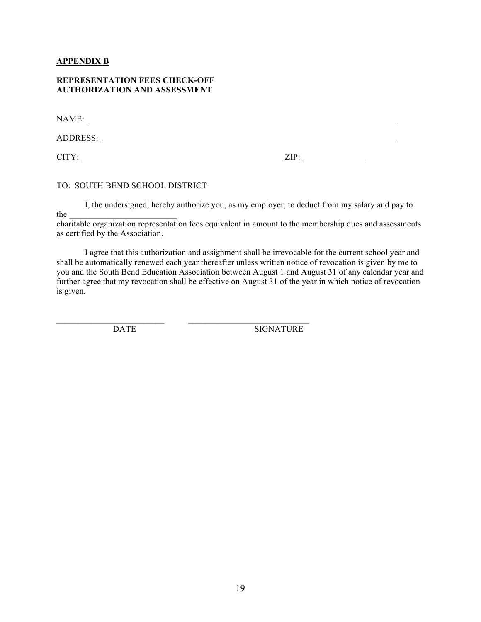## **APPENDIX B**

#### **REPRESENTATION FEES CHECK-OFF AUTHORIZATION AND ASSESSMENT**

| NAME:           |      |
|-----------------|------|
| <b>ADDRESS:</b> |      |
| CITY:           | ZIP: |

#### TO: SOUTH BEND SCHOOL DISTRICT

I, the undersigned, hereby authorize you, as my employer, to deduct from my salary and pay to

the \_\_\_\_\_\_\_\_\_\_\_\_\_\_\_\_\_\_\_\_\_\_\_\_\_

charitable organization representation fees equivalent in amount to the membership dues and assessments as certified by the Association.

I agree that this authorization and assignment shall be irrevocable for the current school year and shall be automatically renewed each year thereafter unless written notice of revocation is given by me to you and the South Bend Education Association between August 1 and August 31 of any calendar year and further agree that my revocation shall be effective on August 31 of the year in which notice of revocation is given.

\_\_\_\_\_\_\_\_\_\_\_\_\_\_\_\_\_\_\_\_\_\_\_\_\_ \_\_\_\_\_\_\_\_\_\_\_\_\_\_\_\_\_\_\_\_\_\_\_\_\_\_\_\_

DATE SIGNATURE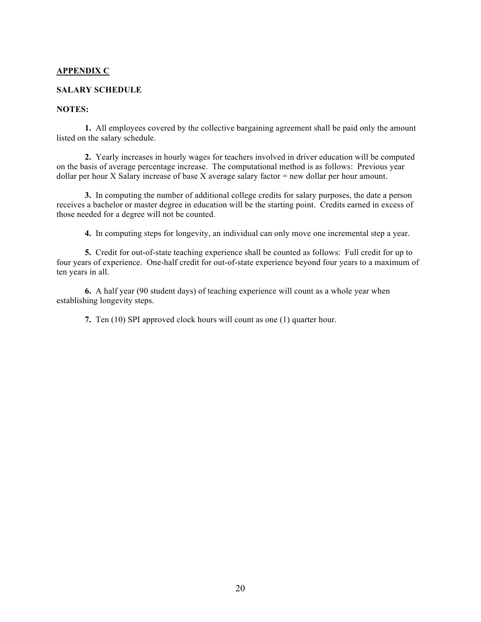## **APPENDIX C**

#### **SALARY SCHEDULE**

## **NOTES:**

**1.** All employees covered by the collective bargaining agreement shall be paid only the amount listed on the salary schedule.

**2.** Yearly increases in hourly wages for teachers involved in driver education will be computed on the basis of average percentage increase. The computational method is as follows: Previous year dollar per hour X Salary increase of base X average salary factor = new dollar per hour amount.

**3.** In computing the number of additional college credits for salary purposes, the date a person receives a bachelor or master degree in education will be the starting point. Credits earned in excess of those needed for a degree will not be counted.

**4.** In computing steps for longevity, an individual can only move one incremental step a year.

**5.** Credit for out-of-state teaching experience shall be counted as follows: Full credit for up to four years of experience. One-half credit for out-of-state experience beyond four years to a maximum of ten years in all.

**6.** A half year (90 student days) of teaching experience will count as a whole year when establishing longevity steps.

**7.** Ten (10) SPI approved clock hours will count as one (1) quarter hour.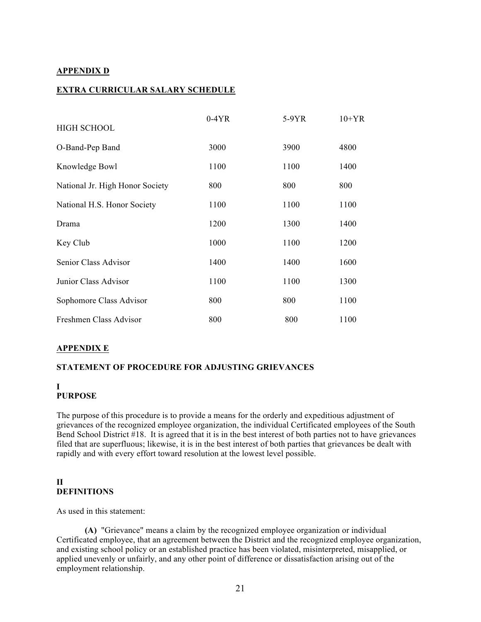## **APPENDIX D**

## **EXTRA CURRICULAR SALARY SCHEDULE**

|                                 | $0-4YR$ | 5-9YR | $10+YR$ |
|---------------------------------|---------|-------|---------|
| <b>HIGH SCHOOL</b>              |         |       |         |
| O-Band-Pep Band                 | 3000    | 3900  | 4800    |
| Knowledge Bowl                  | 1100    | 1100  | 1400    |
| National Jr. High Honor Society | 800     | 800   | 800     |
| National H.S. Honor Society     | 1100    | 1100  | 1100    |
| Drama                           | 1200    | 1300  | 1400    |
| Key Club                        | 1000    | 1100  | 1200    |
| Senior Class Advisor            | 1400    | 1400  | 1600    |
| Junior Class Advisor            | 1100    | 1100  | 1300    |
| Sophomore Class Advisor         | 800     | 800   | 1100    |
| Freshmen Class Advisor          | 800     | 800   | 1100    |

## **APPENDIX E**

## **STATEMENT OF PROCEDURE FOR ADJUSTING GRIEVANCES**

#### **I PURPOSE**

The purpose of this procedure is to provide a means for the orderly and expeditious adjustment of grievances of the recognized employee organization, the individual Certificated employees of the South Bend School District #18. It is agreed that it is in the best interest of both parties not to have grievances filed that are superfluous; likewise, it is in the best interest of both parties that grievances be dealt with rapidly and with every effort toward resolution at the lowest level possible.

## **II DEFINITIONS**

As used in this statement:

**(A)** "Grievance" means a claim by the recognized employee organization or individual Certificated employee, that an agreement between the District and the recognized employee organization, and existing school policy or an established practice has been violated, misinterpreted, misapplied, or applied unevenly or unfairly, and any other point of difference or dissatisfaction arising out of the employment relationship.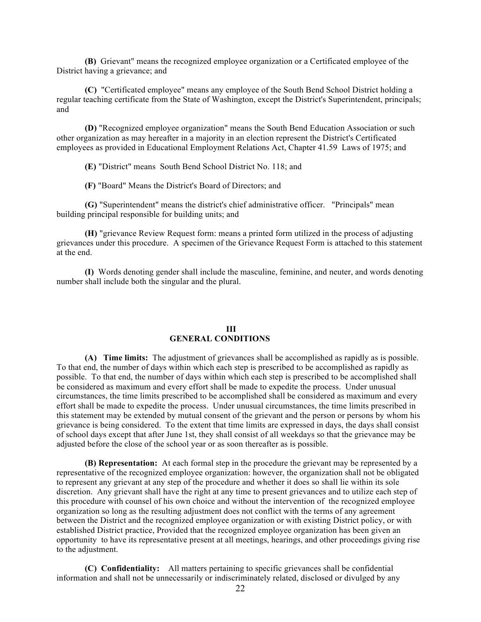**(B)** Grievant" means the recognized employee organization or a Certificated employee of the District having a grievance; and

**(C)** "Certificated employee" means any employee of the South Bend School District holding a regular teaching certificate from the State of Washington, except the District's Superintendent, principals; and

**(D)** "Recognized employee organization" means the South Bend Education Association or such other organization as may hereafter in a majority in an election represent the District's Certificated employees as provided in Educational Employment Relations Act, Chapter 41.59 Laws of 1975; and

**(E)** "District" means South Bend School District No. 118; and

**(F)** "Board" Means the District's Board of Directors; and

**(G)** "Superintendent" means the district's chief administrative officer. "Principals" mean building principal responsible for building units; and

**(H)** "grievance Review Request form: means a printed form utilized in the process of adjusting grievances under this procedure. A specimen of the Grievance Request Form is attached to this statement at the end.

**(I)** Words denoting gender shall include the masculine, feminine, and neuter, and words denoting number shall include both the singular and the plural.

#### **III GENERAL CONDITIONS**

**(A) Time limits:** The adjustment of grievances shall be accomplished as rapidly as is possible. To that end, the number of days within which each step is prescribed to be accomplished as rapidly as possible. To that end, the number of days within which each step is prescribed to be accomplished shall be considered as maximum and every effort shall be made to expedite the process. Under unusual circumstances, the time limits prescribed to be accomplished shall be considered as maximum and every effort shall be made to expedite the process. Under unusual circumstances, the time limits prescribed in this statement may be extended by mutual consent of the grievant and the person or persons by whom his grievance is being considered. To the extent that time limits are expressed in days, the days shall consist of school days except that after June 1st, they shall consist of all weekdays so that the grievance may be adjusted before the close of the school year or as soon thereafter as is possible.

**(B) Representation:** At each formal step in the procedure the grievant may be represented by a representative of the recognized employee organization: however, the organization shall not be obligated to represent any grievant at any step of the procedure and whether it does so shall lie within its sole discretion. Any grievant shall have the right at any time to present grievances and to utilize each step of this procedure with counsel of his own choice and without the intervention of the recognized employee organization so long as the resulting adjustment does not conflict with the terms of any agreement between the District and the recognized employee organization or with existing District policy, or with established District practice, Provided that the recognized employee organization has been given an opportunity to have its representative present at all meetings, hearings, and other proceedings giving rise to the adjustment.

**(C) Confidentiality:** All matters pertaining to specific grievances shall be confidential information and shall not be unnecessarily or indiscriminately related, disclosed or divulged by any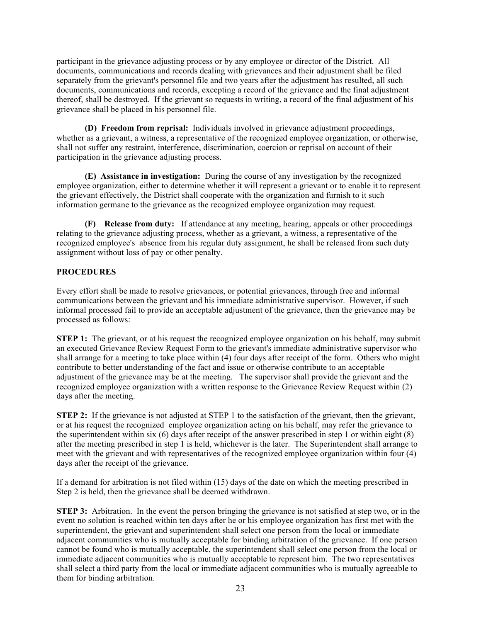participant in the grievance adjusting process or by any employee or director of the District. All documents, communications and records dealing with grievances and their adjustment shall be filed separately from the grievant's personnel file and two years after the adjustment has resulted, all such documents, communications and records, excepting a record of the grievance and the final adjustment thereof, shall be destroyed. If the grievant so requests in writing, a record of the final adjustment of his grievance shall be placed in his personnel file.

**(D) Freedom from reprisal:** Individuals involved in grievance adjustment proceedings, whether as a grievant, a witness, a representative of the recognized employee organization, or otherwise, shall not suffer any restraint, interference, discrimination, coercion or reprisal on account of their participation in the grievance adjusting process.

**(E) Assistance in investigation:** During the course of any investigation by the recognized employee organization, either to determine whether it will represent a grievant or to enable it to represent the grievant effectively, the District shall cooperate with the organization and furnish to it such information germane to the grievance as the recognized employee organization may request.

**(F) Release from duty:** If attendance at any meeting, hearing, appeals or other proceedings relating to the grievance adjusting process, whether as a grievant, a witness, a representative of the recognized employee's absence from his regular duty assignment, he shall be released from such duty assignment without loss of pay or other penalty.

## **PROCEDURES**

Every effort shall be made to resolve grievances, or potential grievances, through free and informal communications between the grievant and his immediate administrative supervisor. However, if such informal processed fail to provide an acceptable adjustment of the grievance, then the grievance may be processed as follows:

**STEP 1:** The grievant, or at his request the recognized employee organization on his behalf, may submit an executed Grievance Review Request Form to the grievant's immediate administrative supervisor who shall arrange for a meeting to take place within (4) four days after receipt of the form. Others who might contribute to better understanding of the fact and issue or otherwise contribute to an acceptable adjustment of the grievance may be at the meeting. The supervisor shall provide the grievant and the recognized employee organization with a written response to the Grievance Review Request within (2) days after the meeting.

**STEP 2:** If the grievance is not adjusted at STEP 1 to the satisfaction of the grievant, then the grievant, or at his request the recognized employee organization acting on his behalf, may refer the grievance to the superintendent within six (6) days after receipt of the answer prescribed in step 1 or within eight (8) after the meeting prescribed in step 1 is held, whichever is the later. The Superintendent shall arrange to meet with the grievant and with representatives of the recognized employee organization within four (4) days after the receipt of the grievance.

If a demand for arbitration is not filed within (15) days of the date on which the meeting prescribed in Step 2 is held, then the grievance shall be deemed withdrawn.

**STEP 3:** Arbitration. In the event the person bringing the grievance is not satisfied at step two, or in the event no solution is reached within ten days after he or his employee organization has first met with the superintendent, the grievant and superintendent shall select one person from the local or immediate adjacent communities who is mutually acceptable for binding arbitration of the grievance. If one person cannot be found who is mutually acceptable, the superintendent shall select one person from the local or immediate adjacent communities who is mutually acceptable to represent him. The two representatives shall select a third party from the local or immediate adjacent communities who is mutually agreeable to them for binding arbitration.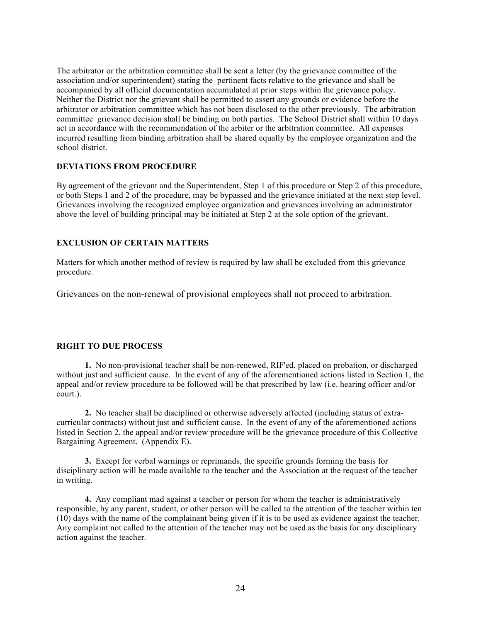The arbitrator or the arbitration committee shall be sent a letter (by the grievance committee of the association and/or superintendent) stating the pertinent facts relative to the grievance and shall be accompanied by all official documentation accumulated at prior steps within the grievance policy. Neither the District nor the grievant shall be permitted to assert any grounds or evidence before the arbitrator or arbitration committee which has not been disclosed to the other previously. The arbitration committee grievance decision shall be binding on both parties. The School District shall within 10 days act in accordance with the recommendation of the arbiter or the arbitration committee. All expenses incurred resulting from binding arbitration shall be shared equally by the employee organization and the school district.

## **DEVIATIONS FROM PROCEDURE**

By agreement of the grievant and the Superintendent, Step 1 of this procedure or Step 2 of this procedure, or both Steps 1 and 2 of the procedure, may be bypassed and the grievance initiated at the next step level. Grievances involving the recognized employee organization and grievances involving an administrator above the level of building principal may be initiated at Step 2 at the sole option of the grievant.

#### **EXCLUSION OF CERTAIN MATTERS**

Matters for which another method of review is required by law shall be excluded from this grievance procedure.

Grievances on the non-renewal of provisional employees shall not proceed to arbitration.

#### **RIGHT TO DUE PROCESS**

**1.** No non-provisional teacher shall be non-renewed, RIF'ed, placed on probation, or discharged without just and sufficient cause. In the event of any of the aforementioned actions listed in Section 1, the appeal and/or review procedure to be followed will be that prescribed by law (i.e. hearing officer and/or court.).

**2.** No teacher shall be disciplined or otherwise adversely affected (including status of extracurricular contracts) without just and sufficient cause. In the event of any of the aforementioned actions listed in Section 2, the appeal and/or review procedure will be the grievance procedure of this Collective Bargaining Agreement. (Appendix E).

**3.** Except for verbal warnings or reprimands, the specific grounds forming the basis for disciplinary action will be made available to the teacher and the Association at the request of the teacher in writing.

**4.** Any compliant mad against a teacher or person for whom the teacher is administratively responsible, by any parent, student, or other person will be called to the attention of the teacher within ten (10) days with the name of the complainant being given if it is to be used as evidence against the teacher. Any complaint not called to the attention of the teacher may not be used as the basis for any disciplinary action against the teacher.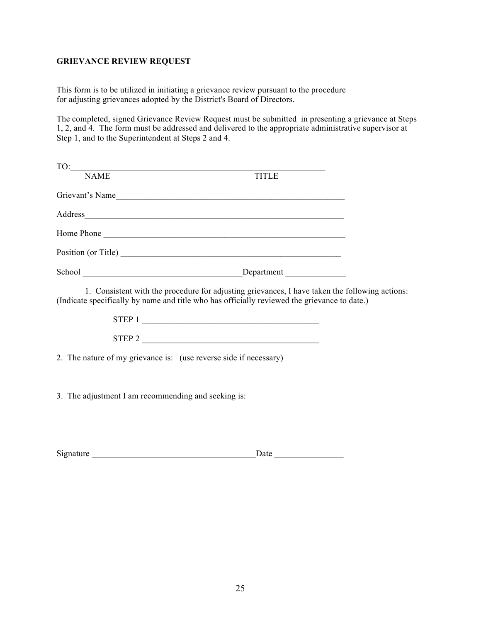## **GRIEVANCE REVIEW REQUEST**

This form is to be utilized in initiating a grievance review pursuant to the procedure for adjusting grievances adopted by the District's Board of Directors.

The completed, signed Grievance Review Request must be submitted in presenting a grievance at Steps 1, 2, and 4. The form must be addressed and delivered to the appropriate administrative supervisor at Step 1, and to the Superintendent at Steps 2 and 4.

| <b>TITLE</b>                                                                                                                                                                                   |  |
|------------------------------------------------------------------------------------------------------------------------------------------------------------------------------------------------|--|
| Grievant's Name                                                                                                                                                                                |  |
|                                                                                                                                                                                                |  |
| Home Phone                                                                                                                                                                                     |  |
| Position (or Title)                                                                                                                                                                            |  |
|                                                                                                                                                                                                |  |
| 1. Consistent with the procedure for adjusting grievances, I have taken the following actions:<br>(Indicate specifically by name and title who has officially reviewed the grievance to date.) |  |
| $\begin{tabular}{c} \bf STEP 1 \\ \hline \end{tabular}$                                                                                                                                        |  |
| $STEP$ 2                                                                                                                                                                                       |  |
| 2. The nature of my grievance is: (use reverse side if necessary)                                                                                                                              |  |

3. The adjustment I am recommending and seeking is:

| $\sim$<br>aature<br>$\mathrm{S12}$ | 'au |
|------------------------------------|-----|
|                                    |     |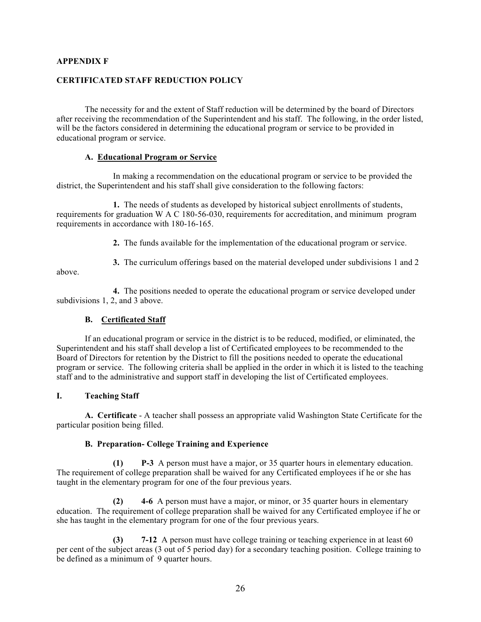#### **APPENDIX F**

#### **CERTIFICATED STAFF REDUCTION POLICY**

The necessity for and the extent of Staff reduction will be determined by the board of Directors after receiving the recommendation of the Superintendent and his staff. The following, in the order listed, will be the factors considered in determining the educational program or service to be provided in educational program or service.

#### **A. Educational Program or Service**

In making a recommendation on the educational program or service to be provided the district, the Superintendent and his staff shall give consideration to the following factors:

**1.** The needs of students as developed by historical subject enrollments of students, requirements for graduation W A C 180-56-030, requirements for accreditation, and minimum program requirements in accordance with 180-16-165.

**2.** The funds available for the implementation of the educational program or service.

**3.** The curriculum offerings based on the material developed under subdivisions 1 and 2

above.

**4.** The positions needed to operate the educational program or service developed under subdivisions 1, 2, and 3 above.

#### **B. Certificated Staff**

If an educational program or service in the district is to be reduced, modified, or eliminated, the Superintendent and his staff shall develop a list of Certificated employees to be recommended to the Board of Directors for retention by the District to fill the positions needed to operate the educational program or service. The following criteria shall be applied in the order in which it is listed to the teaching staff and to the administrative and support staff in developing the list of Certificated employees.

#### **I. Teaching Staff**

**A. Certificate** - A teacher shall possess an appropriate valid Washington State Certificate for the particular position being filled.

#### **B. Preparation- College Training and Experience**

**(1) P-3** A person must have a major, or 35 quarter hours in elementary education. The requirement of college preparation shall be waived for any Certificated employees if he or she has taught in the elementary program for one of the four previous years.

**(2) 4-6** A person must have a major, or minor, or 35 quarter hours in elementary education. The requirement of college preparation shall be waived for any Certificated employee if he or she has taught in the elementary program for one of the four previous years.

**(3) 7-12** A person must have college training or teaching experience in at least 60 per cent of the subject areas (3 out of 5 period day) for a secondary teaching position. College training to be defined as a minimum of 9 quarter hours.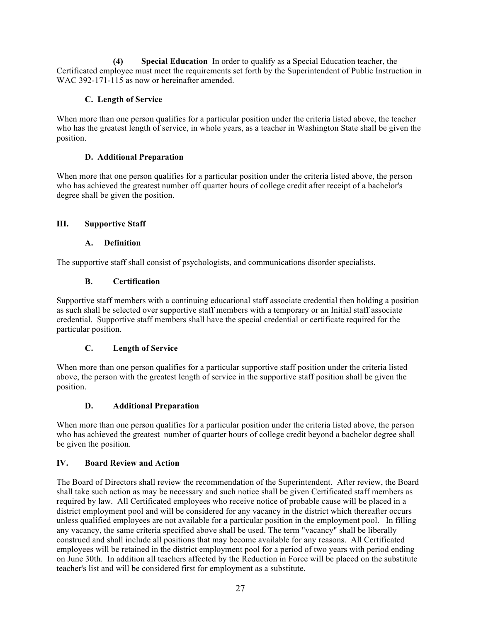**(4) Special Education** In order to qualify as a Special Education teacher, the Certificated employee must meet the requirements set forth by the Superintendent of Public Instruction in WAC 392-171-115 as now or hereinafter amended.

## **C. Length of Service**

When more than one person qualifies for a particular position under the criteria listed above, the teacher who has the greatest length of service, in whole years, as a teacher in Washington State shall be given the position.

## **D. Additional Preparation**

When more that one person qualifies for a particular position under the criteria listed above, the person who has achieved the greatest number off quarter hours of college credit after receipt of a bachelor's degree shall be given the position.

## **III. Supportive Staff**

## **A. Definition**

The supportive staff shall consist of psychologists, and communications disorder specialists.

## **B. Certification**

Supportive staff members with a continuing educational staff associate credential then holding a position as such shall be selected over supportive staff members with a temporary or an Initial staff associate credential. Supportive staff members shall have the special credential or certificate required for the particular position.

## **C. Length of Service**

When more than one person qualifies for a particular supportive staff position under the criteria listed above, the person with the greatest length of service in the supportive staff position shall be given the position.

## **D. Additional Preparation**

When more than one person qualifies for a particular position under the criteria listed above, the person who has achieved the greatest number of quarter hours of college credit beyond a bachelor degree shall be given the position.

## **IV. Board Review and Action**

The Board of Directors shall review the recommendation of the Superintendent. After review, the Board shall take such action as may be necessary and such notice shall be given Certificated staff members as required by law. All Certificated employees who receive notice of probable cause will be placed in a district employment pool and will be considered for any vacancy in the district which thereafter occurs unless qualified employees are not available for a particular position in the employment pool. In filling any vacancy, the same criteria specified above shall be used. The term "vacancy" shall be liberally construed and shall include all positions that may become available for any reasons. All Certificated employees will be retained in the district employment pool for a period of two years with period ending on June 30th. In addition all teachers affected by the Reduction in Force will be placed on the substitute teacher's list and will be considered first for employment as a substitute.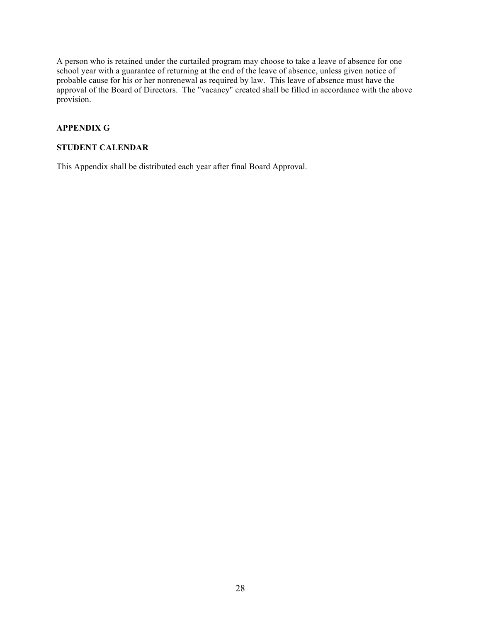A person who is retained under the curtailed program may choose to take a leave of absence for one school year with a guarantee of returning at the end of the leave of absence, unless given notice of probable cause for his or her nonrenewal as required by law. This leave of absence must have the approval of the Board of Directors. The "vacancy" created shall be filled in accordance with the above provision.

## **APPENDIX G**

## **STUDENT CALENDAR**

This Appendix shall be distributed each year after final Board Approval.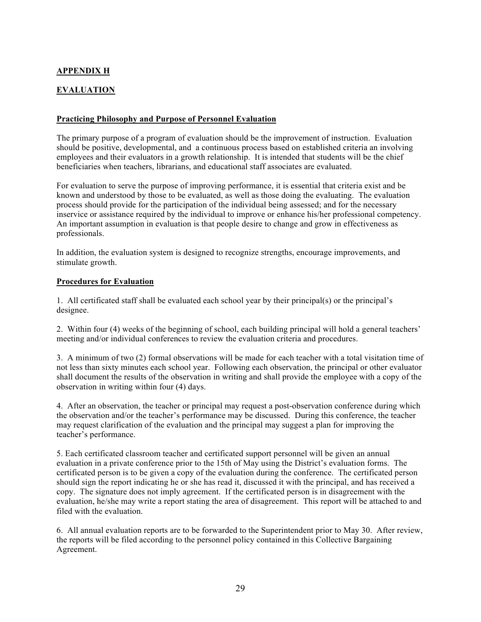## **APPENDIX H**

## **EVALUATION**

## **Practicing Philosophy and Purpose of Personnel Evaluation**

The primary purpose of a program of evaluation should be the improvement of instruction. Evaluation should be positive, developmental, and a continuous process based on established criteria an involving employees and their evaluators in a growth relationship. It is intended that students will be the chief beneficiaries when teachers, librarians, and educational staff associates are evaluated.

For evaluation to serve the purpose of improving performance, it is essential that criteria exist and be known and understood by those to be evaluated, as well as those doing the evaluating. The evaluation process should provide for the participation of the individual being assessed; and for the necessary inservice or assistance required by the individual to improve or enhance his/her professional competency. An important assumption in evaluation is that people desire to change and grow in effectiveness as professionals.

In addition, the evaluation system is designed to recognize strengths, encourage improvements, and stimulate growth.

## **Procedures for Evaluation**

1. All certificated staff shall be evaluated each school year by their principal(s) or the principal's designee.

2. Within four (4) weeks of the beginning of school, each building principal will hold a general teachers' meeting and/or individual conferences to review the evaluation criteria and procedures.

3. A minimum of two (2) formal observations will be made for each teacher with a total visitation time of not less than sixty minutes each school year. Following each observation, the principal or other evaluator shall document the results of the observation in writing and shall provide the employee with a copy of the observation in writing within four (4) days.

4. After an observation, the teacher or principal may request a post-observation conference during which the observation and/or the teacher's performance may be discussed. During this conference, the teacher may request clarification of the evaluation and the principal may suggest a plan for improving the teacher's performance.

5. Each certificated classroom teacher and certificated support personnel will be given an annual evaluation in a private conference prior to the 15th of May using the District's evaluation forms. The certificated person is to be given a copy of the evaluation during the conference. The certificated person should sign the report indicating he or she has read it, discussed it with the principal, and has received a copy. The signature does not imply agreement. If the certificated person is in disagreement with the evaluation, he/she may write a report stating the area of disagreement. This report will be attached to and filed with the evaluation.

6. All annual evaluation reports are to be forwarded to the Superintendent prior to May 30. After review, the reports will be filed according to the personnel policy contained in this Collective Bargaining Agreement.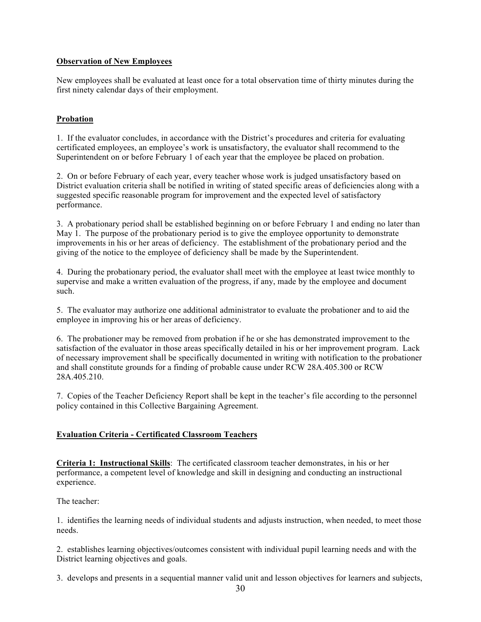## **Observation of New Employees**

New employees shall be evaluated at least once for a total observation time of thirty minutes during the first ninety calendar days of their employment.

## **Probation**

1. If the evaluator concludes, in accordance with the District's procedures and criteria for evaluating certificated employees, an employee's work is unsatisfactory, the evaluator shall recommend to the Superintendent on or before February 1 of each year that the employee be placed on probation.

2. On or before February of each year, every teacher whose work is judged unsatisfactory based on District evaluation criteria shall be notified in writing of stated specific areas of deficiencies along with a suggested specific reasonable program for improvement and the expected level of satisfactory performance.

3. A probationary period shall be established beginning on or before February 1 and ending no later than May 1. The purpose of the probationary period is to give the employee opportunity to demonstrate improvements in his or her areas of deficiency. The establishment of the probationary period and the giving of the notice to the employee of deficiency shall be made by the Superintendent.

4. During the probationary period, the evaluator shall meet with the employee at least twice monthly to supervise and make a written evaluation of the progress, if any, made by the employee and document such.

5. The evaluator may authorize one additional administrator to evaluate the probationer and to aid the employee in improving his or her areas of deficiency.

6. The probationer may be removed from probation if he or she has demonstrated improvement to the satisfaction of the evaluator in those areas specifically detailed in his or her improvement program. Lack of necessary improvement shall be specifically documented in writing with notification to the probationer and shall constitute grounds for a finding of probable cause under RCW 28A.405.300 or RCW 28A.405.210.

7. Copies of the Teacher Deficiency Report shall be kept in the teacher's file according to the personnel policy contained in this Collective Bargaining Agreement.

## **Evaluation Criteria - Certificated Classroom Teachers**

**Criteria 1: Instructional Skills**: The certificated classroom teacher demonstrates, in his or her performance, a competent level of knowledge and skill in designing and conducting an instructional experience.

The teacher:

1. identifies the learning needs of individual students and adjusts instruction, when needed, to meet those needs.

2. establishes learning objectives/outcomes consistent with individual pupil learning needs and with the District learning objectives and goals.

3. develops and presents in a sequential manner valid unit and lesson objectives for learners and subjects,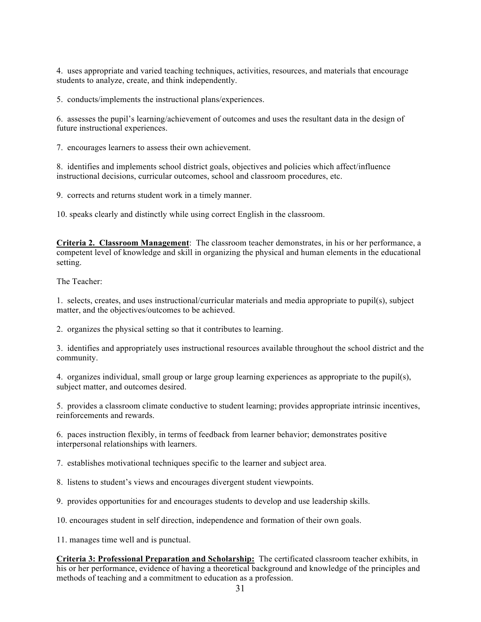4. uses appropriate and varied teaching techniques, activities, resources, and materials that encourage students to analyze, create, and think independently.

5. conducts/implements the instructional plans/experiences.

6. assesses the pupil's learning/achievement of outcomes and uses the resultant data in the design of future instructional experiences.

7. encourages learners to assess their own achievement.

8. identifies and implements school district goals, objectives and policies which affect/influence instructional decisions, curricular outcomes, school and classroom procedures, etc.

9. corrects and returns student work in a timely manner.

10. speaks clearly and distinctly while using correct English in the classroom.

**Criteria 2. Classroom Management**: The classroom teacher demonstrates, in his or her performance, a competent level of knowledge and skill in organizing the physical and human elements in the educational setting.

The Teacher:

1. selects, creates, and uses instructional/curricular materials and media appropriate to pupil(s), subject matter, and the objectives/outcomes to be achieved.

2. organizes the physical setting so that it contributes to learning.

3. identifies and appropriately uses instructional resources available throughout the school district and the community.

4. organizes individual, small group or large group learning experiences as appropriate to the pupil(s), subject matter, and outcomes desired.

5. provides a classroom climate conductive to student learning; provides appropriate intrinsic incentives, reinforcements and rewards.

6. paces instruction flexibly, in terms of feedback from learner behavior; demonstrates positive interpersonal relationships with learners.

7. establishes motivational techniques specific to the learner and subject area.

8. listens to student's views and encourages divergent student viewpoints.

9. provides opportunities for and encourages students to develop and use leadership skills.

10. encourages student in self direction, independence and formation of their own goals.

11. manages time well and is punctual.

**Criteria 3: Professional Preparation and Scholarship:** The certificated classroom teacher exhibits, in his or her performance, evidence of having a theoretical background and knowledge of the principles and methods of teaching and a commitment to education as a profession.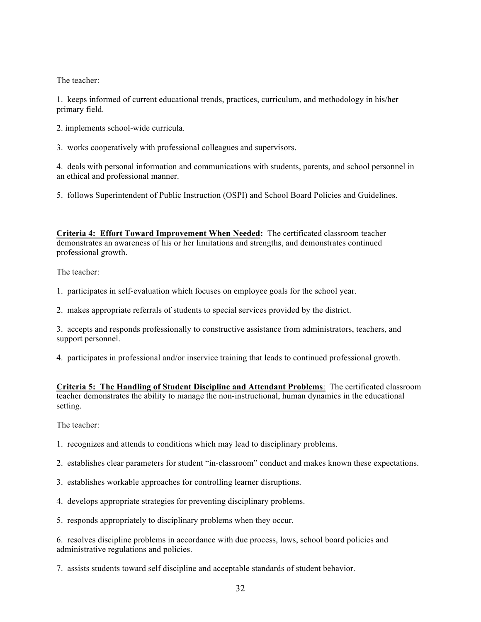The teacher:

1. keeps informed of current educational trends, practices, curriculum, and methodology in his/her primary field.

2. implements school-wide curricula.

3. works cooperatively with professional colleagues and supervisors.

4. deals with personal information and communications with students, parents, and school personnel in an ethical and professional manner.

5. follows Superintendent of Public Instruction (OSPI) and School Board Policies and Guidelines.

**Criteria 4: Effort Toward Improvement When Needed:** The certificated classroom teacher demonstrates an awareness of his or her limitations and strengths, and demonstrates continued professional growth.

The teacher:

1. participates in self-evaluation which focuses on employee goals for the school year.

2. makes appropriate referrals of students to special services provided by the district.

3. accepts and responds professionally to constructive assistance from administrators, teachers, and support personnel.

4. participates in professional and/or inservice training that leads to continued professional growth.

**Criteria 5: The Handling of Student Discipline and Attendant Problems**: The certificated classroom teacher demonstrates the ability to manage the non-instructional, human dynamics in the educational setting.

The teacher:

1. recognizes and attends to conditions which may lead to disciplinary problems.

2. establishes clear parameters for student "in-classroom" conduct and makes known these expectations.

3. establishes workable approaches for controlling learner disruptions.

4. develops appropriate strategies for preventing disciplinary problems.

5. responds appropriately to disciplinary problems when they occur.

6. resolves discipline problems in accordance with due process, laws, school board policies and administrative regulations and policies.

7. assists students toward self discipline and acceptable standards of student behavior.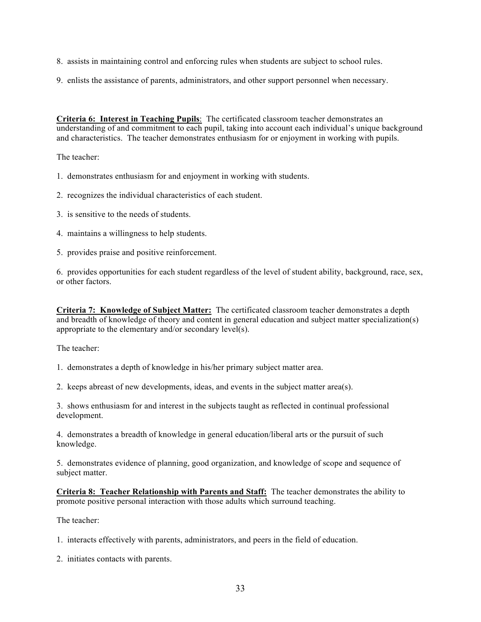- 8. assists in maintaining control and enforcing rules when students are subject to school rules.
- 9. enlists the assistance of parents, administrators, and other support personnel when necessary.

**Criteria 6: Interest in Teaching Pupils**: The certificated classroom teacher demonstrates an understanding of and commitment to each pupil, taking into account each individual's unique background and characteristics. The teacher demonstrates enthusiasm for or enjoyment in working with pupils.

The teacher:

1. demonstrates enthusiasm for and enjoyment in working with students.

- 2. recognizes the individual characteristics of each student.
- 3. is sensitive to the needs of students.
- 4. maintains a willingness to help students.
- 5. provides praise and positive reinforcement.

6. provides opportunities for each student regardless of the level of student ability, background, race, sex, or other factors.

**Criteria 7: Knowledge of Subject Matter:** The certificated classroom teacher demonstrates a depth and breadth of knowledge of theory and content in general education and subject matter specialization(s) appropriate to the elementary and/or secondary level(s).

The teacher:

1. demonstrates a depth of knowledge in his/her primary subject matter area.

2. keeps abreast of new developments, ideas, and events in the subject matter area(s).

3. shows enthusiasm for and interest in the subjects taught as reflected in continual professional development.

4. demonstrates a breadth of knowledge in general education/liberal arts or the pursuit of such knowledge.

5. demonstrates evidence of planning, good organization, and knowledge of scope and sequence of subject matter.

**Criteria 8: Teacher Relationship with Parents and Staff:** The teacher demonstrates the ability to promote positive personal interaction with those adults which surround teaching.

The teacher:

1. interacts effectively with parents, administrators, and peers in the field of education.

2. initiates contacts with parents.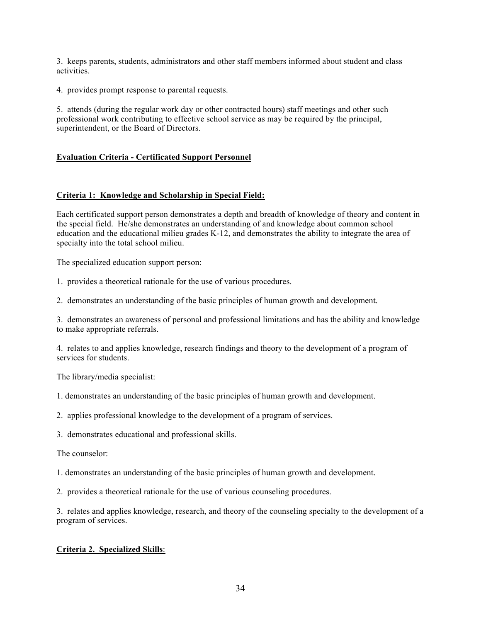3. keeps parents, students, administrators and other staff members informed about student and class activities.

4. provides prompt response to parental requests.

5. attends (during the regular work day or other contracted hours) staff meetings and other such professional work contributing to effective school service as may be required by the principal, superintendent, or the Board of Directors.

## **Evaluation Criteria - Certificated Support Personnel**

#### **Criteria 1: Knowledge and Scholarship in Special Field:**

Each certificated support person demonstrates a depth and breadth of knowledge of theory and content in the special field. He/she demonstrates an understanding of and knowledge about common school education and the educational milieu grades K-12, and demonstrates the ability to integrate the area of specialty into the total school milieu.

The specialized education support person:

1. provides a theoretical rationale for the use of various procedures.

2. demonstrates an understanding of the basic principles of human growth and development.

3. demonstrates an awareness of personal and professional limitations and has the ability and knowledge to make appropriate referrals.

4. relates to and applies knowledge, research findings and theory to the development of a program of services for students.

The library/media specialist:

1. demonstrates an understanding of the basic principles of human growth and development.

2. applies professional knowledge to the development of a program of services.

3. demonstrates educational and professional skills.

The counselor:

1. demonstrates an understanding of the basic principles of human growth and development.

2. provides a theoretical rationale for the use of various counseling procedures.

3. relates and applies knowledge, research, and theory of the counseling specialty to the development of a program of services.

## **Criteria 2. Specialized Skills**: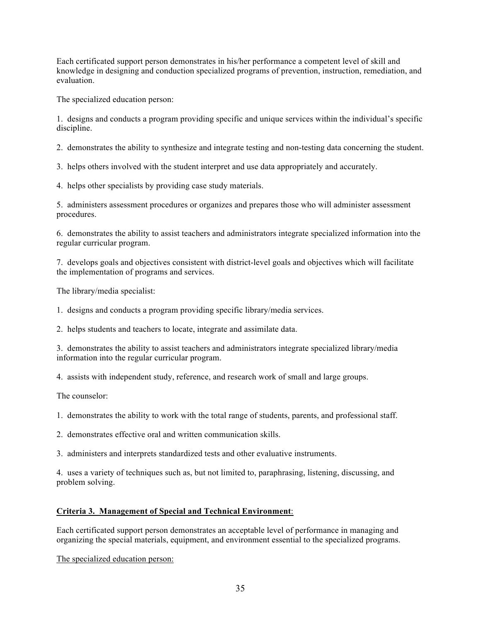Each certificated support person demonstrates in his/her performance a competent level of skill and knowledge in designing and conduction specialized programs of prevention, instruction, remediation, and evaluation.

The specialized education person:

1. designs and conducts a program providing specific and unique services within the individual's specific discipline.

2. demonstrates the ability to synthesize and integrate testing and non-testing data concerning the student.

3. helps others involved with the student interpret and use data appropriately and accurately.

4. helps other specialists by providing case study materials.

5. administers assessment procedures or organizes and prepares those who will administer assessment procedures.

6. demonstrates the ability to assist teachers and administrators integrate specialized information into the regular curricular program.

7. develops goals and objectives consistent with district-level goals and objectives which will facilitate the implementation of programs and services.

The library/media specialist:

1. designs and conducts a program providing specific library/media services.

2. helps students and teachers to locate, integrate and assimilate data.

3. demonstrates the ability to assist teachers and administrators integrate specialized library/media information into the regular curricular program.

4. assists with independent study, reference, and research work of small and large groups.

The counselor:

1. demonstrates the ability to work with the total range of students, parents, and professional staff.

2. demonstrates effective oral and written communication skills.

3. administers and interprets standardized tests and other evaluative instruments.

4. uses a variety of techniques such as, but not limited to, paraphrasing, listening, discussing, and problem solving.

## **Criteria 3. Management of Special and Technical Environment**:

Each certificated support person demonstrates an acceptable level of performance in managing and organizing the special materials, equipment, and environment essential to the specialized programs.

The specialized education person: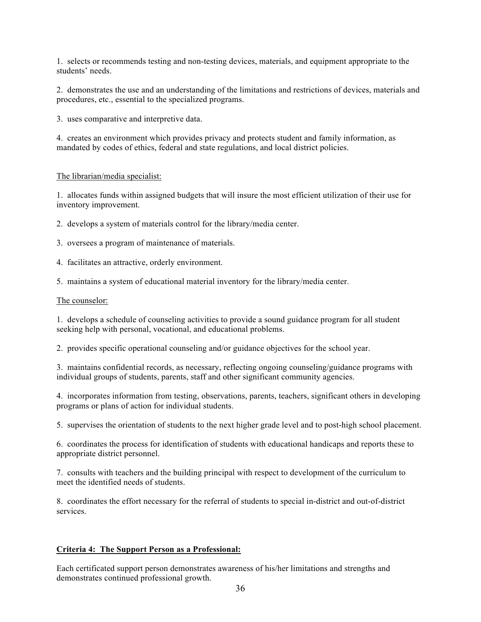1. selects or recommends testing and non-testing devices, materials, and equipment appropriate to the students' needs.

2. demonstrates the use and an understanding of the limitations and restrictions of devices, materials and procedures, etc., essential to the specialized programs.

3. uses comparative and interpretive data.

4. creates an environment which provides privacy and protects student and family information, as mandated by codes of ethics, federal and state regulations, and local district policies.

#### The librarian/media specialist:

1. allocates funds within assigned budgets that will insure the most efficient utilization of their use for inventory improvement.

2. develops a system of materials control for the library/media center.

- 3. oversees a program of maintenance of materials.
- 4. facilitates an attractive, orderly environment.
- 5. maintains a system of educational material inventory for the library/media center.

#### The counselor:

1. develops a schedule of counseling activities to provide a sound guidance program for all student seeking help with personal, vocational, and educational problems.

2. provides specific operational counseling and/or guidance objectives for the school year.

3. maintains confidential records, as necessary, reflecting ongoing counseling/guidance programs with individual groups of students, parents, staff and other significant community agencies.

4. incorporates information from testing, observations, parents, teachers, significant others in developing programs or plans of action for individual students.

5. supervises the orientation of students to the next higher grade level and to post-high school placement.

6. coordinates the process for identification of students with educational handicaps and reports these to appropriate district personnel.

7. consults with teachers and the building principal with respect to development of the curriculum to meet the identified needs of students.

8. coordinates the effort necessary for the referral of students to special in-district and out-of-district services.

#### **Criteria 4: The Support Person as a Professional:**

Each certificated support person demonstrates awareness of his/her limitations and strengths and demonstrates continued professional growth.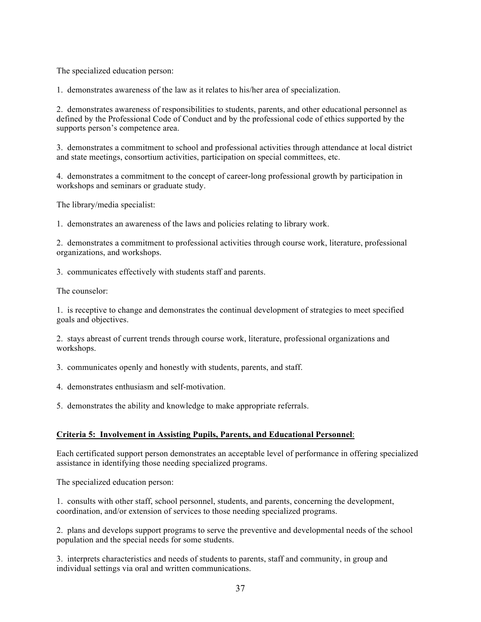The specialized education person:

1. demonstrates awareness of the law as it relates to his/her area of specialization.

2. demonstrates awareness of responsibilities to students, parents, and other educational personnel as defined by the Professional Code of Conduct and by the professional code of ethics supported by the supports person's competence area.

3. demonstrates a commitment to school and professional activities through attendance at local district and state meetings, consortium activities, participation on special committees, etc.

4. demonstrates a commitment to the concept of career-long professional growth by participation in workshops and seminars or graduate study.

The library/media specialist:

1. demonstrates an awareness of the laws and policies relating to library work.

2. demonstrates a commitment to professional activities through course work, literature, professional organizations, and workshops.

3. communicates effectively with students staff and parents.

The counselor:

1. is receptive to change and demonstrates the continual development of strategies to meet specified goals and objectives.

2. stays abreast of current trends through course work, literature, professional organizations and workshops.

3. communicates openly and honestly with students, parents, and staff.

4. demonstrates enthusiasm and self-motivation.

5. demonstrates the ability and knowledge to make appropriate referrals.

## **Criteria 5: Involvement in Assisting Pupils, Parents, and Educational Personnel**:

Each certificated support person demonstrates an acceptable level of performance in offering specialized assistance in identifying those needing specialized programs.

The specialized education person:

1. consults with other staff, school personnel, students, and parents, concerning the development, coordination, and/or extension of services to those needing specialized programs.

2. plans and develops support programs to serve the preventive and developmental needs of the school population and the special needs for some students.

3. interprets characteristics and needs of students to parents, staff and community, in group and individual settings via oral and written communications.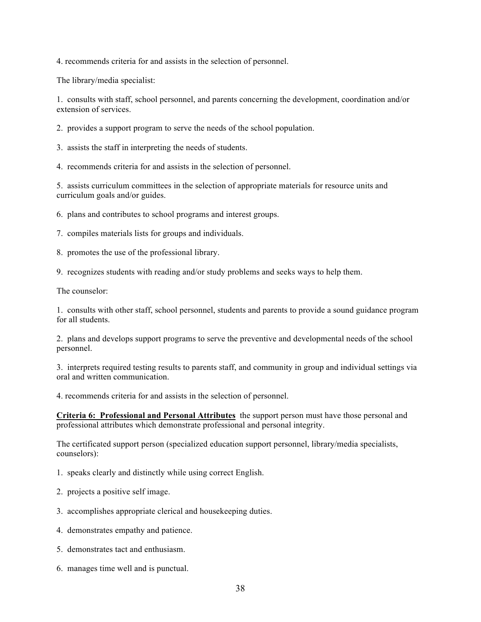4. recommends criteria for and assists in the selection of personnel.

The library/media specialist:

1. consults with staff, school personnel, and parents concerning the development, coordination and/or extension of services.

2. provides a support program to serve the needs of the school population.

3. assists the staff in interpreting the needs of students.

4. recommends criteria for and assists in the selection of personnel.

5. assists curriculum committees in the selection of appropriate materials for resource units and curriculum goals and/or guides.

6. plans and contributes to school programs and interest groups.

7. compiles materials lists for groups and individuals.

8. promotes the use of the professional library.

9. recognizes students with reading and/or study problems and seeks ways to help them.

The counselor:

1. consults with other staff, school personnel, students and parents to provide a sound guidance program for all students.

2. plans and develops support programs to serve the preventive and developmental needs of the school personnel.

3. interprets required testing results to parents staff, and community in group and individual settings via oral and written communication.

4. recommends criteria for and assists in the selection of personnel.

**Criteria 6: Professional and Personal Attributes** the support person must have those personal and professional attributes which demonstrate professional and personal integrity.

The certificated support person (specialized education support personnel, library/media specialists, counselors):

1. speaks clearly and distinctly while using correct English.

2. projects a positive self image.

3. accomplishes appropriate clerical and housekeeping duties.

4. demonstrates empathy and patience.

5. demonstrates tact and enthusiasm.

6. manages time well and is punctual.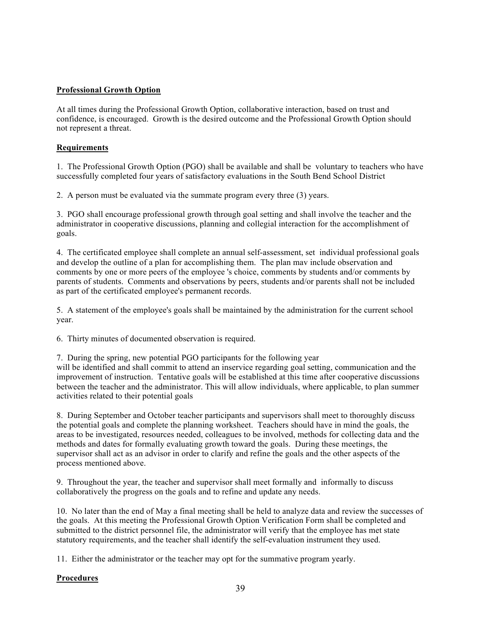## **Professional Growth Option**

At all times during the Professional Growth Option, collaborative interaction, based on trust and confidence, is encouraged. Growth is the desired outcome and the Professional Growth Option should not represent a threat.

## **Requirements**

1. The Professional Growth Option (PGO) shall be available and shall be voluntary to teachers who have successfully completed four years of satisfactory evaluations in the South Bend School District

2. A person must be evaluated via the summate program every three (3) years.

3. PGO shall encourage professional growth through goal setting and shall involve the teacher and the administrator in cooperative discussions, planning and collegial interaction for the accomplishment of goals.

4. The certificated employee shall complete an annual self-assessment, set individual professional goals and develop the outline of a plan for accomplishing them. The plan mav include observation and comments by one or more peers of the employee 's choice, comments by students and/or comments by parents of students. Comments and observations by peers, students and/or parents shall not be included as part of the certificated employee's permanent records.

5. A statement of the employee's goals shall be maintained by the administration for the current school year.

6. Thirty minutes of documented observation is required.

7. During the spring, new potential PGO participants for the following year

will be identified and shall commit to attend an inservice regarding goal setting, communication and the improvement of instruction. Tentative goals will be established at this time after cooperative discussions between the teacher and the administrator. This will allow individuals, where applicable, to plan summer activities related to their potential goals

8. During September and October teacher participants and supervisors shall meet to thoroughly discuss the potential goals and complete the planning worksheet. Teachers should have in mind the goals, the areas to be investigated, resources needed, colleagues to be involved, methods for collecting data and the methods and dates for formally evaluating growth toward the goals. During these meetings, the supervisor shall act as an advisor in order to clarify and refine the goals and the other aspects of the process mentioned above.

9. Throughout the year, the teacher and supervisor shall meet formally and informally to discuss collaboratively the progress on the goals and to refine and update any needs.

10. No later than the end of May a final meeting shall be held to analyze data and review the successes of the goals. At this meeting the Professional Growth Option Verification Form shall be completed and submitted to the district personnel file, the administrator will verify that the employee has met state statutory requirements, and the teacher shall identify the self-evaluation instrument they used.

11. Either the administrator or the teacher may opt for the summative program yearly.

## **Procedures**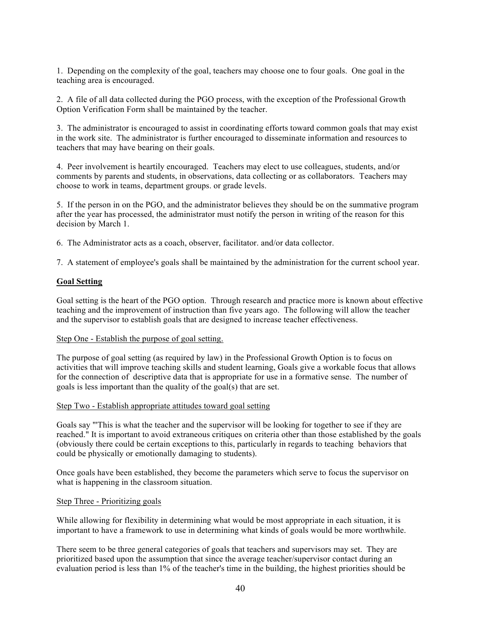1. Depending on the complexity of the goal, teachers may choose one to four goals. One goal in the teaching area is encouraged.

2. A file of all data collected during the PGO process, with the exception of the Professional Growth Option Verification Form shall be maintained by the teacher.

3. The administrator is encouraged to assist in coordinating efforts toward common goals that may exist in the work site. The administrator is further encouraged to disseminate information and resources to teachers that may have bearing on their goals.

4. Peer involvement is heartily encouraged. Teachers may elect to use colleagues, students, and/or comments by parents and students, in observations, data collecting or as collaborators. Teachers may choose to work in teams, department groups. or grade levels.

5. If the person in on the PGO, and the administrator believes they should be on the summative program after the year has processed, the administrator must notify the person in writing of the reason for this decision by March 1.

6. The Administrator acts as a coach, observer, facilitator. and/or data collector.

7. A statement of employee's goals shall be maintained by the administration for the current school year.

#### **Goal Setting**

Goal setting is the heart of the PGO option. Through research and practice more is known about effective teaching and the improvement of instruction than five years ago. The following will allow the teacher and the supervisor to establish goals that are designed to increase teacher effectiveness.

#### Step One - Establish the purpose of goal setting.

The purpose of goal setting (as required by law) in the Professional Growth Option is to focus on activities that will improve teaching skills and student learning, Goals give a workable focus that allows for the connection of descriptive data that is appropriate for use in a formative sense. The number of goals is less important than the quality of the goal(s) that are set.

#### Step Two - Establish appropriate attitudes toward goal setting

Goals say "'This is what the teacher and the supervisor will be looking for together to see if they are reached." It is important to avoid extraneous critiques on criteria other than those established by the goals (obviously there could be certain exceptions to this, particularly in regards to teaching behaviors that could be physically or emotionally damaging to students).

Once goals have been established, they become the parameters which serve to focus the supervisor on what is happening in the classroom situation.

#### Step Three - Prioritizing goals

While allowing for flexibility in determining what would be most appropriate in each situation, it is important to have a framework to use in determining what kinds of goals would be more worthwhile.

There seem to be three general categories of goals that teachers and supervisors may set. They are prioritized based upon the assumption that since the average teacher/supervisor contact during an evaluation period is less than 1% of the teacher's time in the building, the highest priorities should be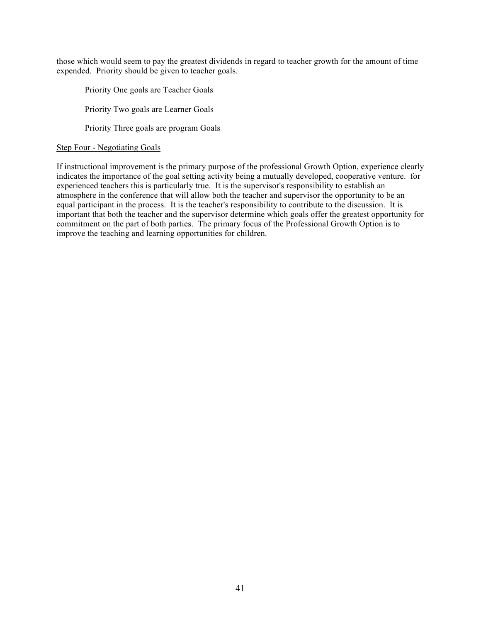those which would seem to pay the greatest dividends in regard to teacher growth for the amount of time expended. Priority should be given to teacher goals.

Priority One goals are Teacher Goals Priority Two goals are Learner Goals Priority Three goals are program Goals

## Step Four - Negotiating Goals

If instructional improvement is the primary purpose of the professional Growth Option, experience clearly indicates the importance of the goal setting activity being a mutually developed, cooperative venture. for experienced teachers this is particularly true. It is the supervisor's responsibility to establish an atmosphere in the conference that will allow both the teacher and supervisor the opportunity to be an equal participant in the process. It is the teacher's responsibility to contribute to the discussion. It is important that both the teacher and the supervisor determine which goals offer the greatest opportunity for commitment on the part of both parties. The primary focus of the Professional Growth Option is to improve the teaching and learning opportunities for children.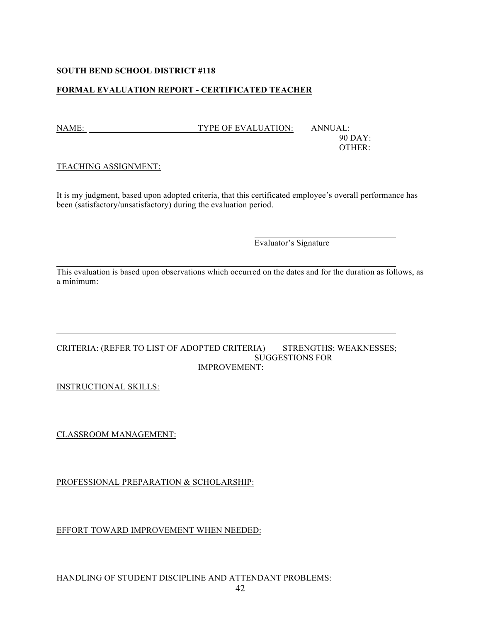## **SOUTH BEND SCHOOL DISTRICT #118**

## **FORMAL EVALUATION REPORT - CERTIFICATED TEACHER**

NAME: TYPE OF EVALUATION: ANNUAL:

90 DAY: OTHER:

## TEACHING ASSIGNMENT:

It is my judgment, based upon adopted criteria, that this certificated employee's overall performance has been (satisfactory/unsatisfactory) during the evaluation period.

Evaluator's Signature

This evaluation is based upon observations which occurred on the dates and for the duration as follows, as a minimum:

#### CRITERIA: (REFER TO LIST OF ADOPTED CRITERIA) STRENGTHS; WEAKNESSES; SUGGESTIONS FOR IMPROVEMENT:

INSTRUCTIONAL SKILLS:

CLASSROOM MANAGEMENT:

PROFESSIONAL PREPARATION & SCHOLARSHIP:

EFFORT TOWARD IMPROVEMENT WHEN NEEDED:

HANDLING OF STUDENT DISCIPLINE AND ATTENDANT PROBLEMS: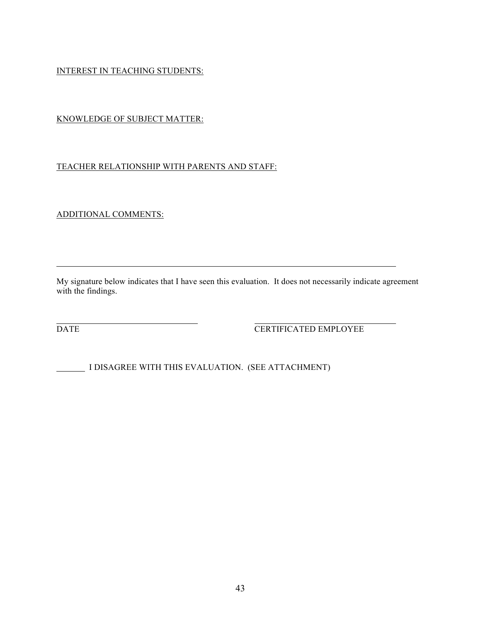INTEREST IN TEACHING STUDENTS:

## KNOWLEDGE OF SUBJECT MATTER:

## TEACHER RELATIONSHIP WITH PARENTS AND STAFF:

ADDITIONAL COMMENTS:

My signature below indicates that I have seen this evaluation. It does not necessarily indicate agreement with the findings.

DATE DATE CERTIFICATED EMPLOYEE

I DISAGREE WITH THIS EVALUATION. (SEE ATTACHMENT)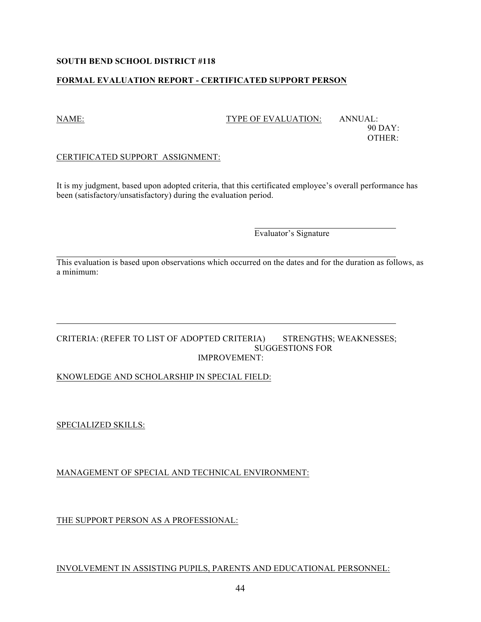## **SOUTH BEND SCHOOL DISTRICT #118**

## **FORMAL EVALUATION REPORT - CERTIFICATED SUPPORT PERSON**

#### NAME: TYPE OF EVALUATION: ANNUAL:

90 DAY: OTHER:

## CERTIFICATED SUPPORT ASSIGNMENT:

It is my judgment, based upon adopted criteria, that this certificated employee's overall performance has been (satisfactory/unsatisfactory) during the evaluation period.

Evaluator's Signature

This evaluation is based upon observations which occurred on the dates and for the duration as follows, as a minimum:

#### CRITERIA: (REFER TO LIST OF ADOPTED CRITERIA) STRENGTHS; WEAKNESSES; SUGGESTIONS FOR IMPROVEMENT:

## KNOWLEDGE AND SCHOLARSHIP IN SPECIAL FIELD:

SPECIALIZED SKILLS:

MANAGEMENT OF SPECIAL AND TECHNICAL ENVIRONMENT:

THE SUPPORT PERSON AS A PROFESSIONAL:

## INVOLVEMENT IN ASSISTING PUPILS, PARENTS AND EDUCATIONAL PERSONNEL: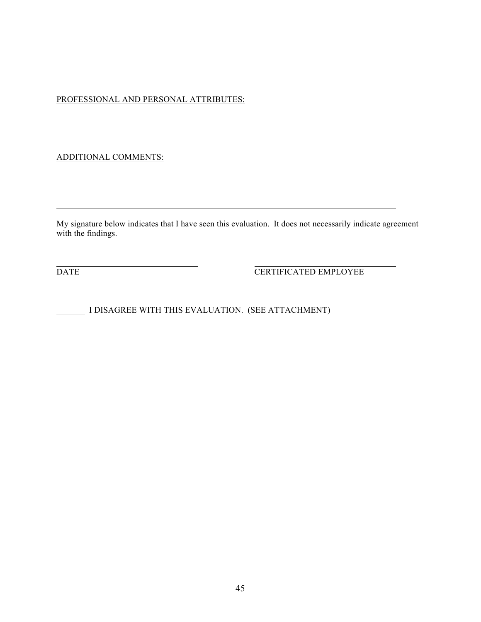## PROFESSIONAL AND PERSONAL ATTRIBUTES:

## ADDITIONAL COMMENTS:

My signature below indicates that I have seen this evaluation. It does not necessarily indicate agreement with the findings.

DATE CERTIFICATED EMPLOYEE

I DISAGREE WITH THIS EVALUATION. (SEE ATTACHMENT)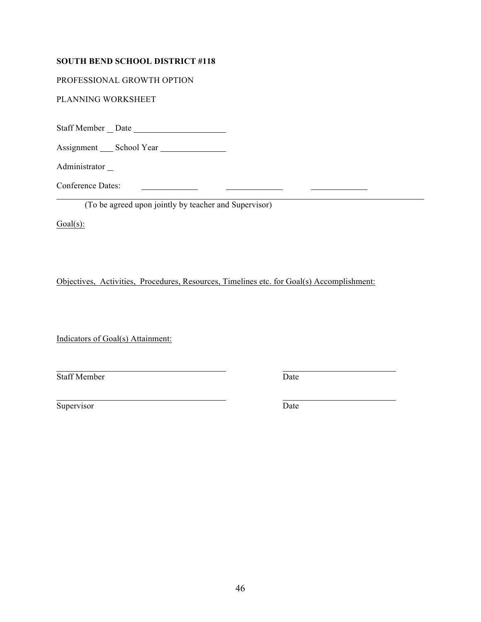## **SOUTH BEND SCHOOL DISTRICT #118**

PROFESSIONAL GROWTH OPTION

PLANNING WORKSHEET

Staff Member Date

Assignment School Year

Administrator<sub>\_</sub>

Conference Dates:

(To be agreed upon jointly by teacher and Supervisor)

<u> 1989 - Johann Barbara, martin amerikan basar dan basar dan basar dalam basar dalam basar dalam basar dalam ba</u>

 $Goal(s)$ :

Objectives, Activities, Procedures, Resources, Timelines etc. for Goal(s) Accomplishment:

Indicators of Goal(s) Attainment:

**Staff Member** Date

 $\begin{array}{c} \begin{array}{c} \begin{array}{c} \begin{array}{c} \end{array} \\ \end{array} \end{array} \end{array}$ 

Supervisor Date